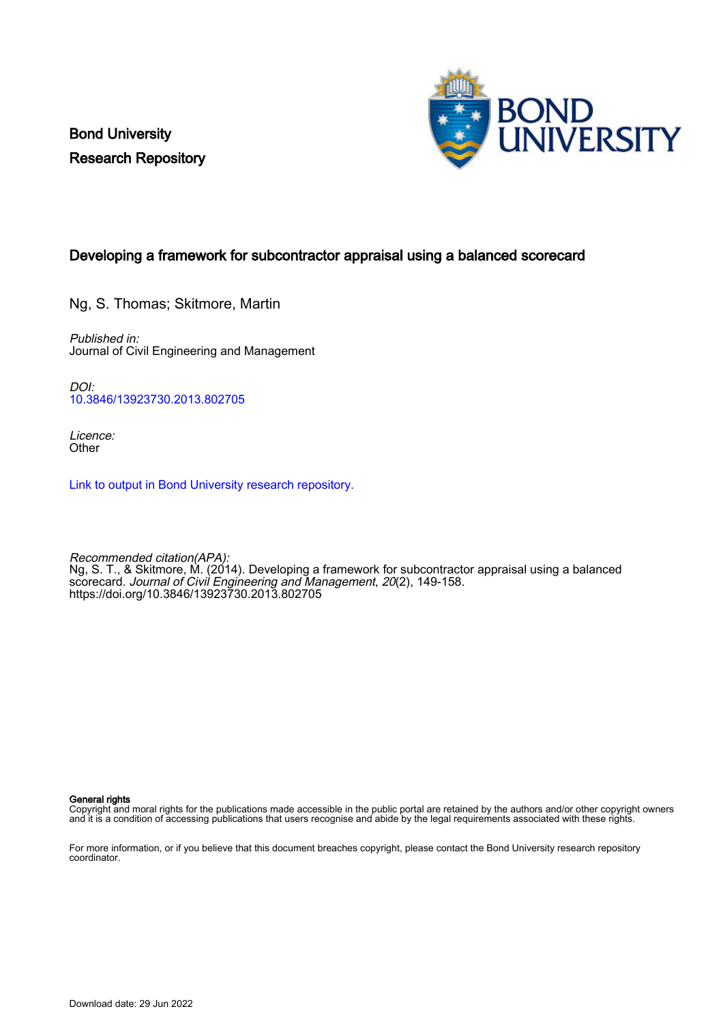Bond University Research Repository



## Developing a framework for subcontractor appraisal using a balanced scorecard

Ng, S. Thomas; Skitmore, Martin

Published in: Journal of Civil Engineering and Management

DOI: [10.3846/13923730.2013.802705](https://doi.org/10.3846/13923730.2013.802705)

Licence: **Other** 

[Link to output in Bond University research repository.](https://research.bond.edu.au/en/publications/9c32ab6a-eff9-4dc6-9719-61987cb35d7d)

Recommended citation(APA): Ng, S. T., & Skitmore, M. (2014). Developing a framework for subcontractor appraisal using a balanced scorecard. Journal of Civil Engineering and Management, 20(2), 149-158. <https://doi.org/10.3846/13923730.2013.802705>

#### General rights

Copyright and moral rights for the publications made accessible in the public portal are retained by the authors and/or other copyright owners and it is a condition of accessing publications that users recognise and abide by the legal requirements associated with these rights.

For more information, or if you believe that this document breaches copyright, please contact the Bond University research repository coordinator.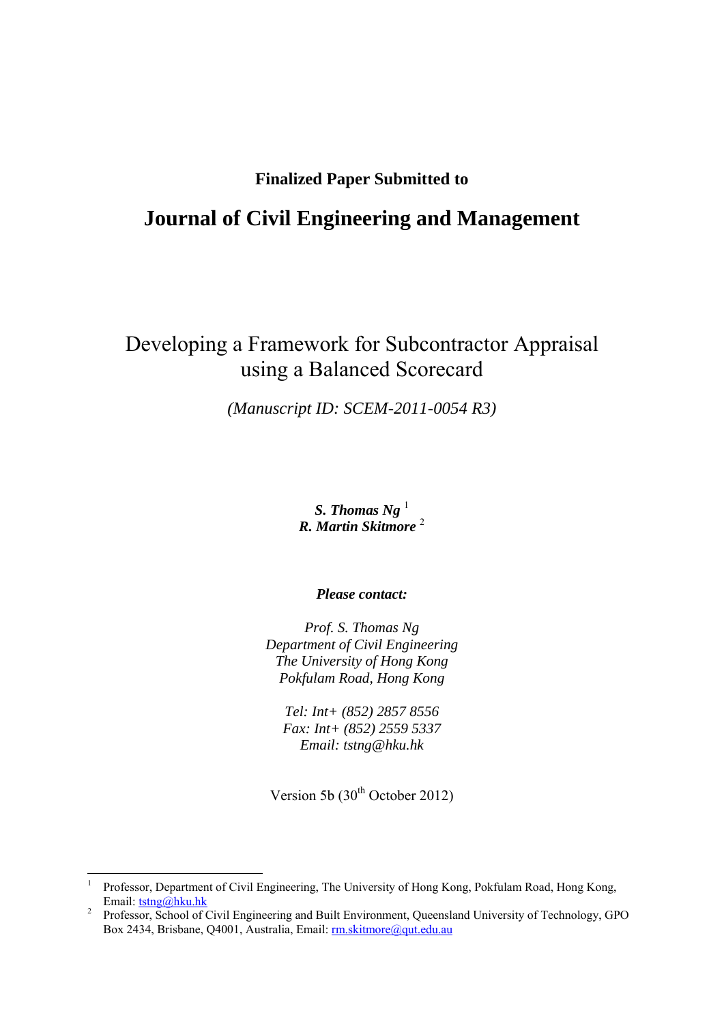## **Finalized Paper Submitted to**

## **Journal of Civil Engineering and Management**

# Developing a Framework for Subcontractor Appraisal using a Balanced Scorecard

*(Manuscript ID: SCEM-2011-0054 R3)* 

## *S. Thomas Ng*  $^1$ *R. Martin Skitmore* <sup>2</sup>

*Please contact:* 

*Prof. S. Thomas Ng Department of Civil Engineering The University of Hong Kong Pokfulam Road, Hong Kong* 

*Tel: Int+ (852) 2857 8556 Fax: Int+ (852) 2559 5337 Email: tstng@hku.hk* 

Version 5b (30<sup>th</sup> October 2012)

1

<sup>1</sup> Professor, Department of Civil Engineering, The University of Hong Kong, Pokfulam Road, Hong Kong, Email:  $tstng@hku.hk$ <br><sup>2</sup> Professor, School of G

Professor, School of Civil Engineering and Built Environment, Queensland University of Technology, GPO Box 2434, Brisbane, Q4001, Australia, Email: rm.skitmore@qut.edu.au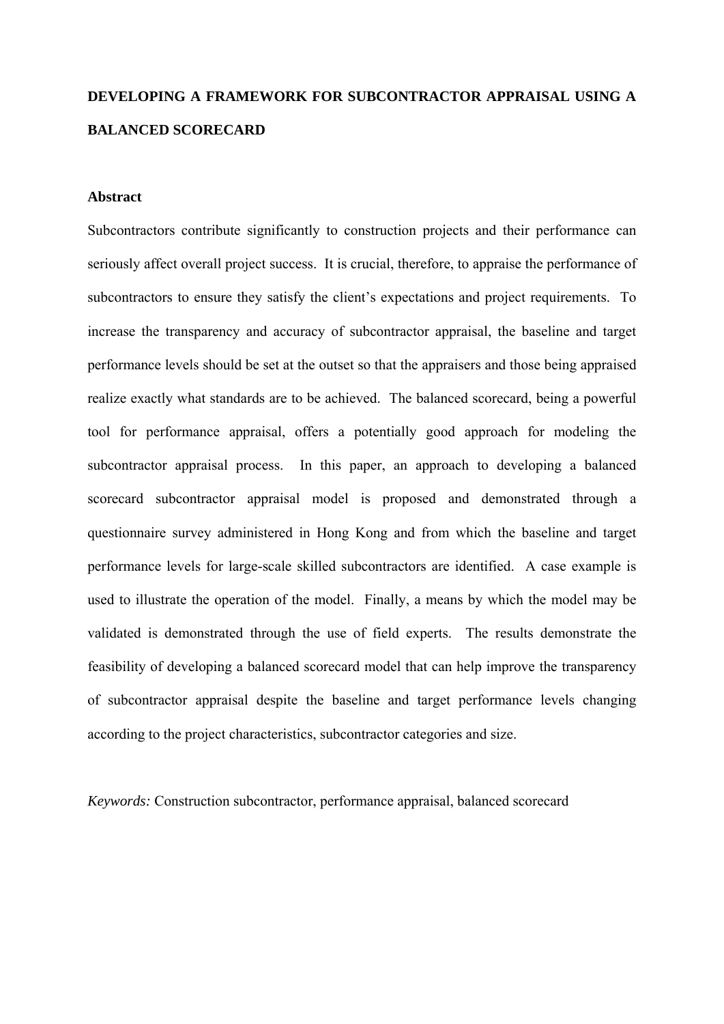# **DEVELOPING A FRAMEWORK FOR SUBCONTRACTOR APPRAISAL USING A BALANCED SCORECARD**

## **Abstract**

Subcontractors contribute significantly to construction projects and their performance can seriously affect overall project success. It is crucial, therefore, to appraise the performance of subcontractors to ensure they satisfy the client's expectations and project requirements. To increase the transparency and accuracy of subcontractor appraisal, the baseline and target performance levels should be set at the outset so that the appraisers and those being appraised realize exactly what standards are to be achieved. The balanced scorecard, being a powerful tool for performance appraisal, offers a potentially good approach for modeling the subcontractor appraisal process. In this paper, an approach to developing a balanced scorecard subcontractor appraisal model is proposed and demonstrated through a questionnaire survey administered in Hong Kong and from which the baseline and target performance levels for large-scale skilled subcontractors are identified. A case example is used to illustrate the operation of the model. Finally, a means by which the model may be validated is demonstrated through the use of field experts. The results demonstrate the feasibility of developing a balanced scorecard model that can help improve the transparency of subcontractor appraisal despite the baseline and target performance levels changing according to the project characteristics, subcontractor categories and size.

*Keywords:* Construction subcontractor, performance appraisal, balanced scorecard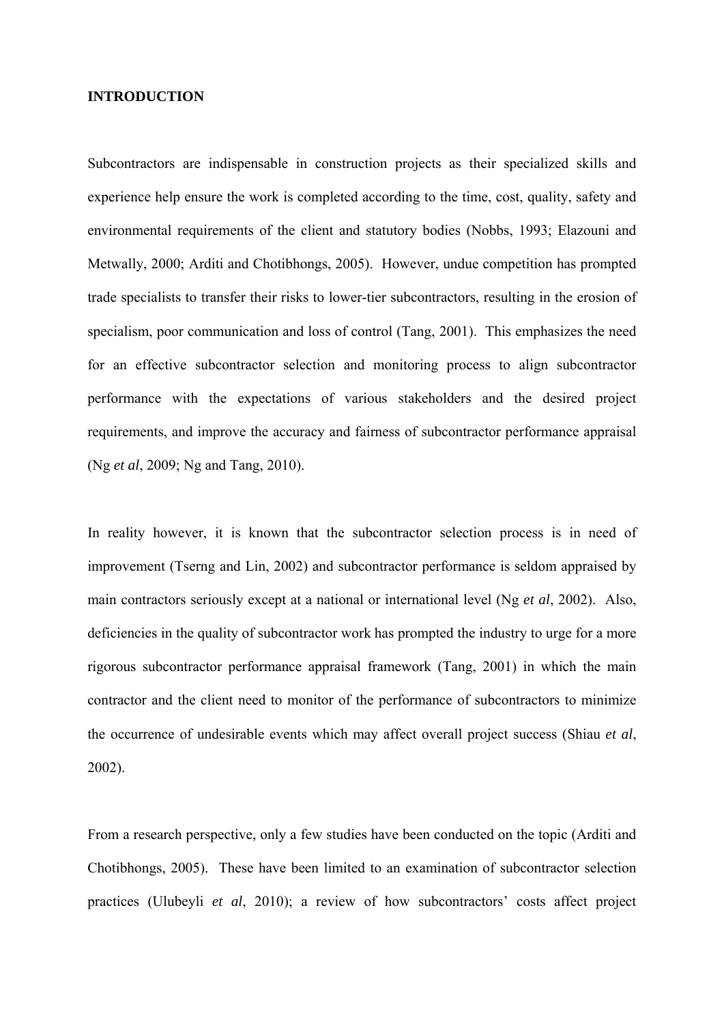#### **INTRODUCTION**

Subcontractors are indispensable in construction projects as their specialized skills and experience help ensure the work is completed according to the time, cost, quality, safety and environmental requirements of the client and statutory bodies (Nobbs, 1993; Elazouni and Metwally, 2000; Arditi and Chotibhongs, 2005). However, undue competition has prompted trade specialists to transfer their risks to lower-tier subcontractors, resulting in the erosion of specialism, poor communication and loss of control (Tang, 2001). This emphasizes the need for an effective subcontractor selection and monitoring process to align subcontractor performance with the expectations of various stakeholders and the desired project requirements, and improve the accuracy and fairness of subcontractor performance appraisal (Ng *et al*, 2009; Ng and Tang, 2010).

In reality however, it is known that the subcontractor selection process is in need of improvement (Tserng and Lin, 2002) and subcontractor performance is seldom appraised by main contractors seriously except at a national or international level (Ng *et al*, 2002). Also, deficiencies in the quality of subcontractor work has prompted the industry to urge for a more rigorous subcontractor performance appraisal framework (Tang, 2001) in which the main contractor and the client need to monitor of the performance of subcontractors to minimize the occurrence of undesirable events which may affect overall project success (Shiau *et al*, 2002).

From a research perspective, only a few studies have been conducted on the topic (Arditi and Chotibhongs, 2005). These have been limited to an examination of subcontractor selection practices (Ulubeyli *et al*, 2010); a review of how subcontractors' costs affect project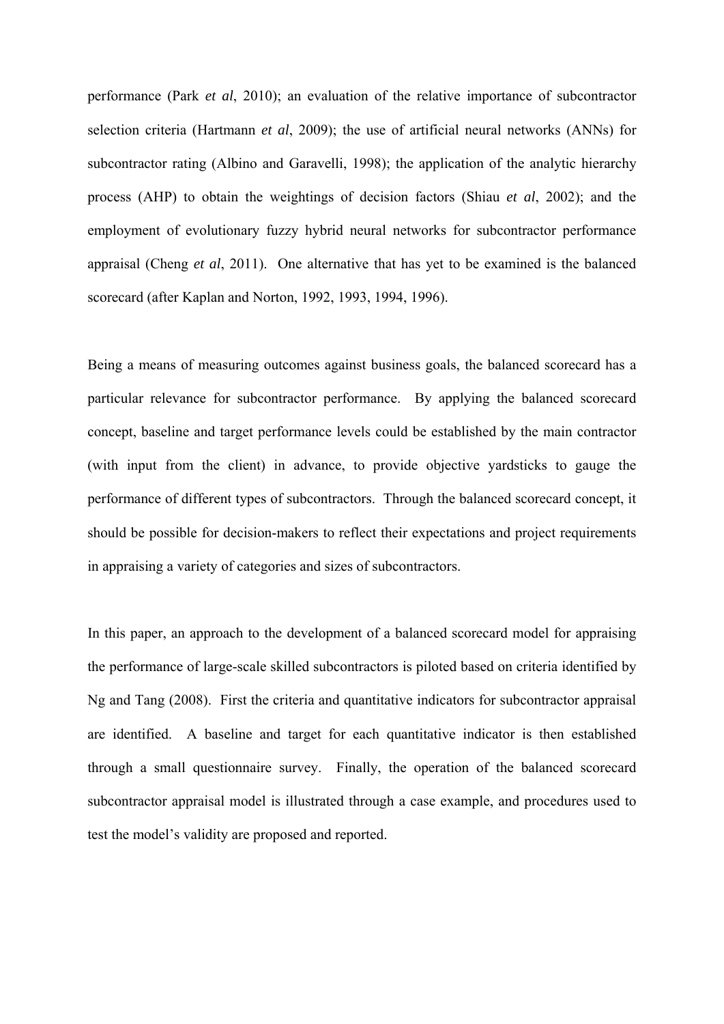performance (Park *et al*, 2010); an evaluation of the relative importance of subcontractor selection criteria (Hartmann *et al*, 2009); the use of artificial neural networks (ANNs) for subcontractor rating (Albino and Garavelli, 1998); the application of the analytic hierarchy process (AHP) to obtain the weightings of decision factors (Shiau *et al*, 2002); and the employment of evolutionary fuzzy hybrid neural networks for subcontractor performance appraisal (Cheng *et al*, 2011). One alternative that has yet to be examined is the balanced scorecard (after Kaplan and Norton, 1992, 1993, 1994, 1996).

Being a means of measuring outcomes against business goals, the balanced scorecard has a particular relevance for subcontractor performance. By applying the balanced scorecard concept, baseline and target performance levels could be established by the main contractor (with input from the client) in advance, to provide objective yardsticks to gauge the performance of different types of subcontractors. Through the balanced scorecard concept, it should be possible for decision-makers to reflect their expectations and project requirements in appraising a variety of categories and sizes of subcontractors.

In this paper, an approach to the development of a balanced scorecard model for appraising the performance of large-scale skilled subcontractors is piloted based on criteria identified by Ng and Tang (2008). First the criteria and quantitative indicators for subcontractor appraisal are identified. A baseline and target for each quantitative indicator is then established through a small questionnaire survey. Finally, the operation of the balanced scorecard subcontractor appraisal model is illustrated through a case example, and procedures used to test the model's validity are proposed and reported.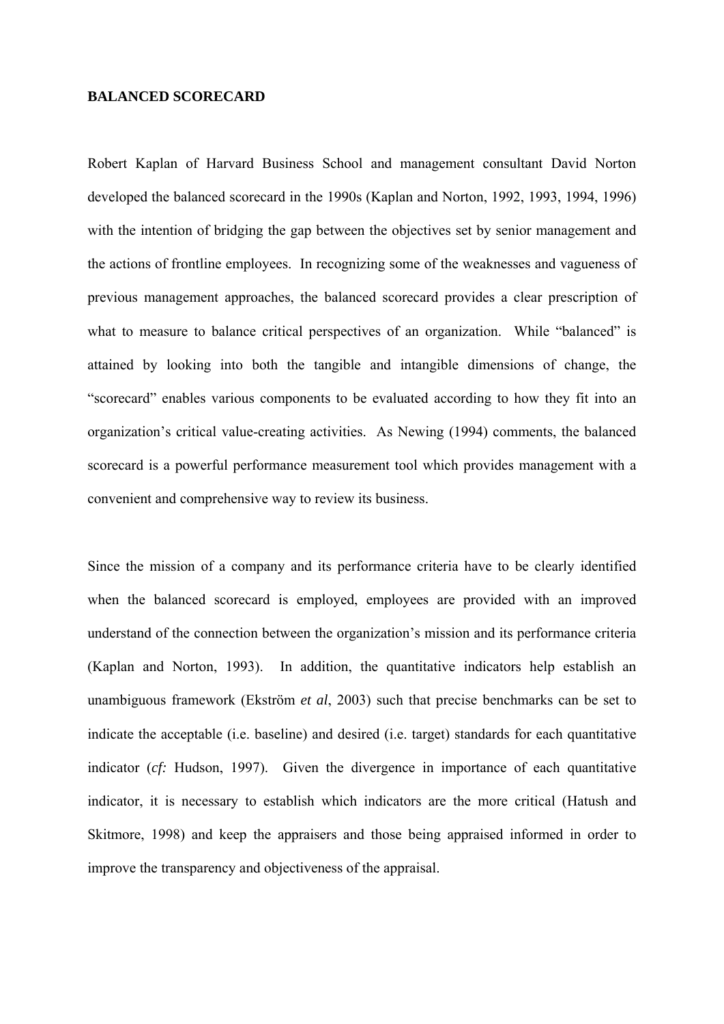### **BALANCED SCORECARD**

Robert Kaplan of Harvard Business School and management consultant David Norton developed the balanced scorecard in the 1990s (Kaplan and Norton, 1992, 1993, 1994, 1996) with the intention of bridging the gap between the objectives set by senior management and the actions of frontline employees. In recognizing some of the weaknesses and vagueness of previous management approaches, the balanced scorecard provides a clear prescription of what to measure to balance critical perspectives of an organization. While "balanced" is attained by looking into both the tangible and intangible dimensions of change, the "scorecard" enables various components to be evaluated according to how they fit into an organization's critical value-creating activities. As Newing (1994) comments, the balanced scorecard is a powerful performance measurement tool which provides management with a convenient and comprehensive way to review its business.

Since the mission of a company and its performance criteria have to be clearly identified when the balanced scorecard is employed, employees are provided with an improved understand of the connection between the organization's mission and its performance criteria (Kaplan and Norton, 1993). In addition, the quantitative indicators help establish an unambiguous framework (Ekström *et al*, 2003) such that precise benchmarks can be set to indicate the acceptable (i.e. baseline) and desired (i.e. target) standards for each quantitative indicator (*cf:* Hudson, 1997). Given the divergence in importance of each quantitative indicator, it is necessary to establish which indicators are the more critical (Hatush and Skitmore, 1998) and keep the appraisers and those being appraised informed in order to improve the transparency and objectiveness of the appraisal.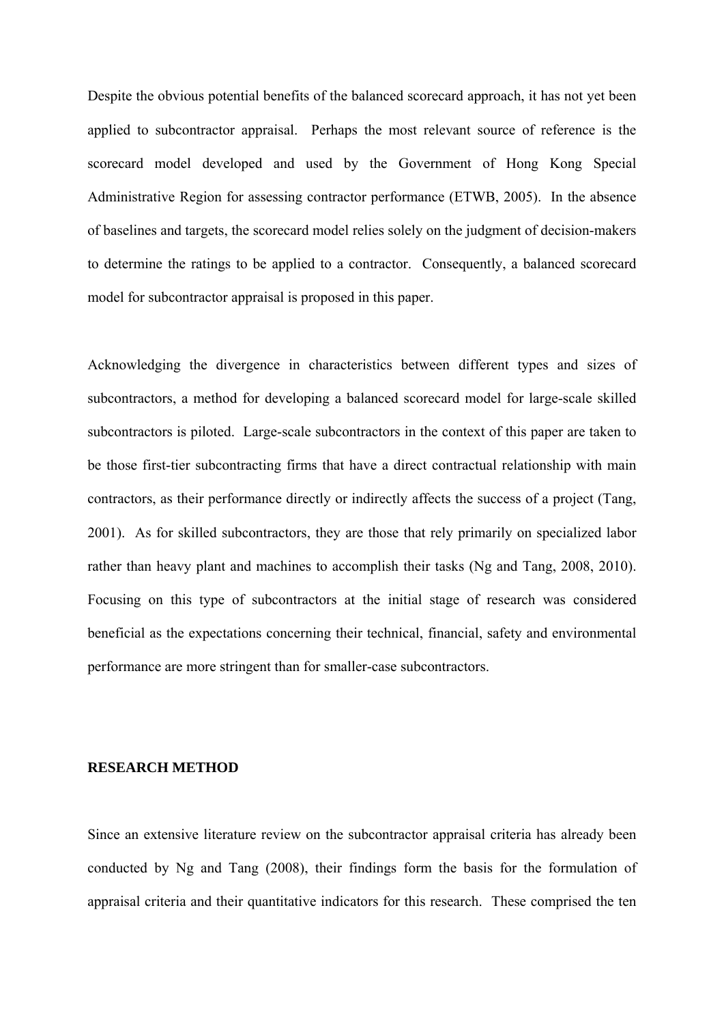Despite the obvious potential benefits of the balanced scorecard approach, it has not yet been applied to subcontractor appraisal. Perhaps the most relevant source of reference is the scorecard model developed and used by the Government of Hong Kong Special Administrative Region for assessing contractor performance (ETWB, 2005). In the absence of baselines and targets, the scorecard model relies solely on the judgment of decision-makers to determine the ratings to be applied to a contractor. Consequently, a balanced scorecard model for subcontractor appraisal is proposed in this paper.

Acknowledging the divergence in characteristics between different types and sizes of subcontractors, a method for developing a balanced scorecard model for large-scale skilled subcontractors is piloted. Large-scale subcontractors in the context of this paper are taken to be those first-tier subcontracting firms that have a direct contractual relationship with main contractors, as their performance directly or indirectly affects the success of a project (Tang, 2001). As for skilled subcontractors, they are those that rely primarily on specialized labor rather than heavy plant and machines to accomplish their tasks (Ng and Tang, 2008, 2010). Focusing on this type of subcontractors at the initial stage of research was considered beneficial as the expectations concerning their technical, financial, safety and environmental performance are more stringent than for smaller-case subcontractors.

## **RESEARCH METHOD**

Since an extensive literature review on the subcontractor appraisal criteria has already been conducted by Ng and Tang (2008), their findings form the basis for the formulation of appraisal criteria and their quantitative indicators for this research. These comprised the ten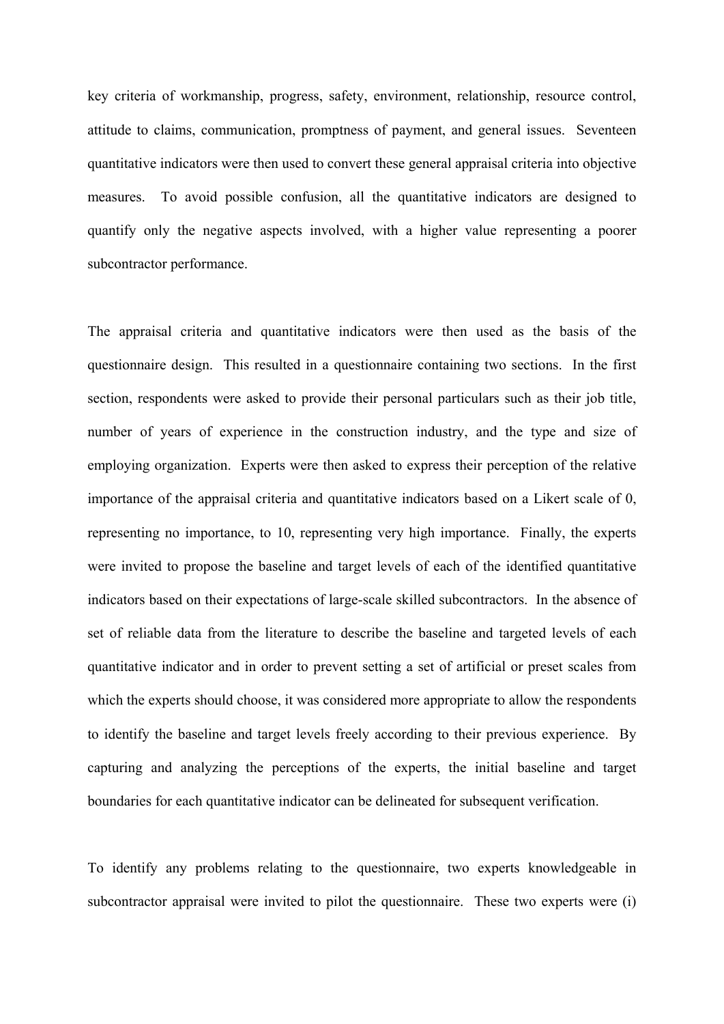key criteria of workmanship, progress, safety, environment, relationship, resource control, attitude to claims, communication, promptness of payment, and general issues. Seventeen quantitative indicators were then used to convert these general appraisal criteria into objective measures. To avoid possible confusion, all the quantitative indicators are designed to quantify only the negative aspects involved, with a higher value representing a poorer subcontractor performance.

The appraisal criteria and quantitative indicators were then used as the basis of the questionnaire design. This resulted in a questionnaire containing two sections. In the first section, respondents were asked to provide their personal particulars such as their job title, number of years of experience in the construction industry, and the type and size of employing organization. Experts were then asked to express their perception of the relative importance of the appraisal criteria and quantitative indicators based on a Likert scale of 0, representing no importance, to 10, representing very high importance. Finally, the experts were invited to propose the baseline and target levels of each of the identified quantitative indicators based on their expectations of large-scale skilled subcontractors. In the absence of set of reliable data from the literature to describe the baseline and targeted levels of each quantitative indicator and in order to prevent setting a set of artificial or preset scales from which the experts should choose, it was considered more appropriate to allow the respondents to identify the baseline and target levels freely according to their previous experience. By capturing and analyzing the perceptions of the experts, the initial baseline and target boundaries for each quantitative indicator can be delineated for subsequent verification.

To identify any problems relating to the questionnaire, two experts knowledgeable in subcontractor appraisal were invited to pilot the questionnaire. These two experts were (i)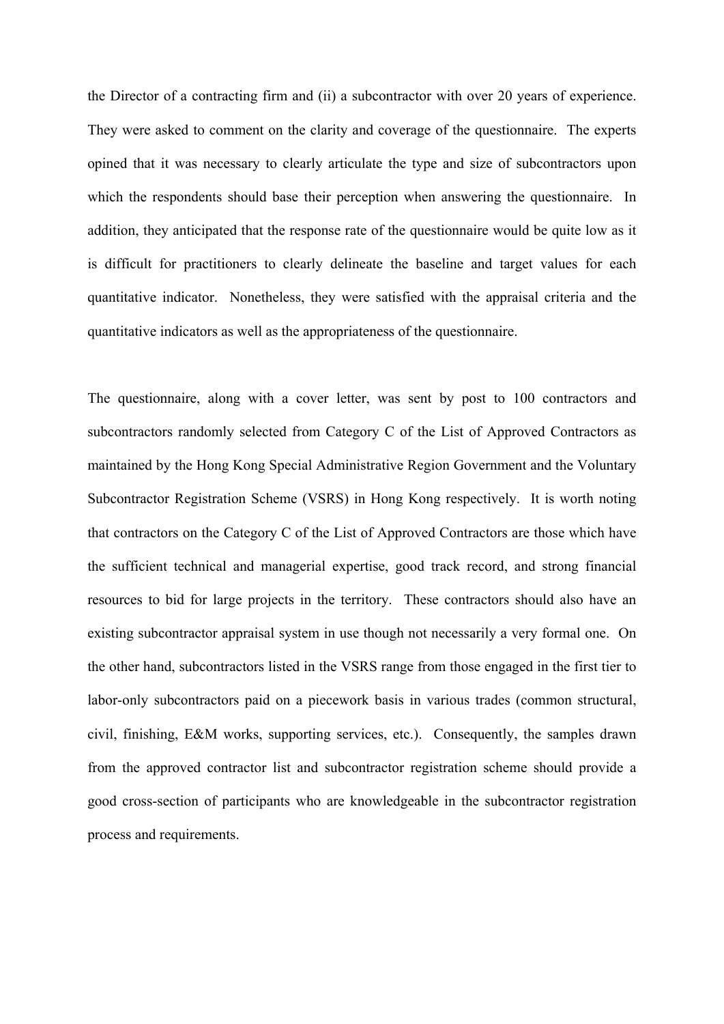the Director of a contracting firm and (ii) a subcontractor with over 20 years of experience. They were asked to comment on the clarity and coverage of the questionnaire. The experts opined that it was necessary to clearly articulate the type and size of subcontractors upon which the respondents should base their perception when answering the questionnaire. In addition, they anticipated that the response rate of the questionnaire would be quite low as it is difficult for practitioners to clearly delineate the baseline and target values for each quantitative indicator. Nonetheless, they were satisfied with the appraisal criteria and the quantitative indicators as well as the appropriateness of the questionnaire.

The questionnaire, along with a cover letter, was sent by post to 100 contractors and subcontractors randomly selected from Category C of the List of Approved Contractors as maintained by the Hong Kong Special Administrative Region Government and the Voluntary Subcontractor Registration Scheme (VSRS) in Hong Kong respectively. It is worth noting that contractors on the Category C of the List of Approved Contractors are those which have the sufficient technical and managerial expertise, good track record, and strong financial resources to bid for large projects in the territory. These contractors should also have an existing subcontractor appraisal system in use though not necessarily a very formal one. On the other hand, subcontractors listed in the VSRS range from those engaged in the first tier to labor-only subcontractors paid on a piecework basis in various trades (common structural, civil, finishing, E&M works, supporting services, etc.). Consequently, the samples drawn from the approved contractor list and subcontractor registration scheme should provide a good cross-section of participants who are knowledgeable in the subcontractor registration process and requirements.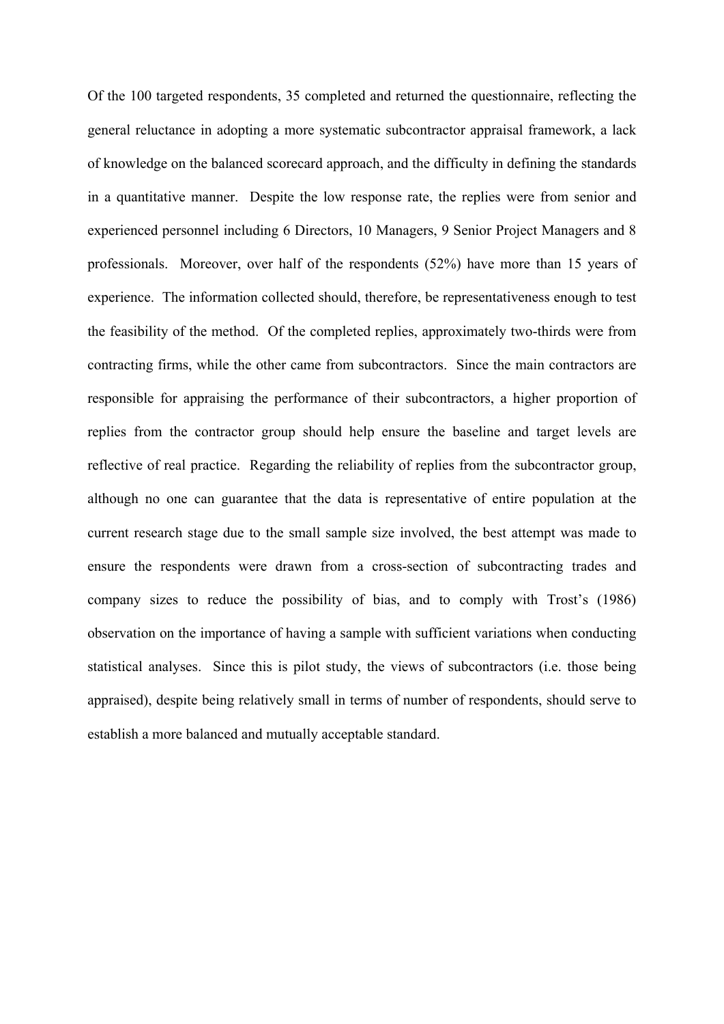Of the 100 targeted respondents, 35 completed and returned the questionnaire, reflecting the general reluctance in adopting a more systematic subcontractor appraisal framework, a lack of knowledge on the balanced scorecard approach, and the difficulty in defining the standards in a quantitative manner. Despite the low response rate, the replies were from senior and experienced personnel including 6 Directors, 10 Managers, 9 Senior Project Managers and 8 professionals. Moreover, over half of the respondents (52%) have more than 15 years of experience. The information collected should, therefore, be representativeness enough to test the feasibility of the method. Of the completed replies, approximately two-thirds were from contracting firms, while the other came from subcontractors. Since the main contractors are responsible for appraising the performance of their subcontractors, a higher proportion of replies from the contractor group should help ensure the baseline and target levels are reflective of real practice. Regarding the reliability of replies from the subcontractor group, although no one can guarantee that the data is representative of entire population at the current research stage due to the small sample size involved, the best attempt was made to ensure the respondents were drawn from a cross-section of subcontracting trades and company sizes to reduce the possibility of bias, and to comply with Trost's (1986) observation on the importance of having a sample with sufficient variations when conducting statistical analyses. Since this is pilot study, the views of subcontractors (i.e. those being appraised), despite being relatively small in terms of number of respondents, should serve to establish a more balanced and mutually acceptable standard.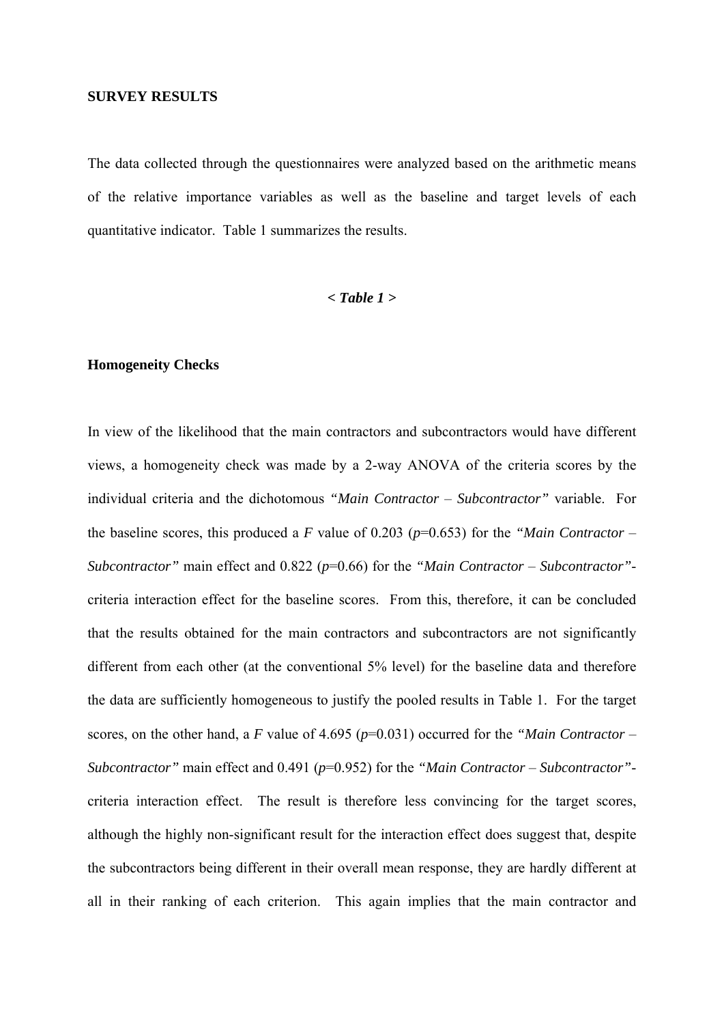#### **SURVEY RESULTS**

The data collected through the questionnaires were analyzed based on the arithmetic means of the relative importance variables as well as the baseline and target levels of each quantitative indicator. Table 1 summarizes the results.

#### *< Table 1 >*

#### **Homogeneity Checks**

In view of the likelihood that the main contractors and subcontractors would have different views, a homogeneity check was made by a 2-way ANOVA of the criteria scores by the individual criteria and the dichotomous *"Main Contractor* – *Subcontractor"* variable. For the baseline scores, this produced a *F* value of 0.203 (*p*=0.653) for the *"Main Contractor* – *Subcontractor"* main effect and 0.822 (*p*=0.66) for the *"Main Contractor* – *Subcontractor"* criteria interaction effect for the baseline scores. From this, therefore, it can be concluded that the results obtained for the main contractors and subcontractors are not significantly different from each other (at the conventional 5% level) for the baseline data and therefore the data are sufficiently homogeneous to justify the pooled results in Table 1. For the target scores, on the other hand, a *F* value of 4.695 (*p*=0.031) occurred for the *"Main Contractor* – *Subcontractor"* main effect and 0.491 (*p*=0.952) for the *"Main Contractor* – *Subcontractor"* criteria interaction effect. The result is therefore less convincing for the target scores, although the highly non-significant result for the interaction effect does suggest that, despite the subcontractors being different in their overall mean response, they are hardly different at all in their ranking of each criterion. This again implies that the main contractor and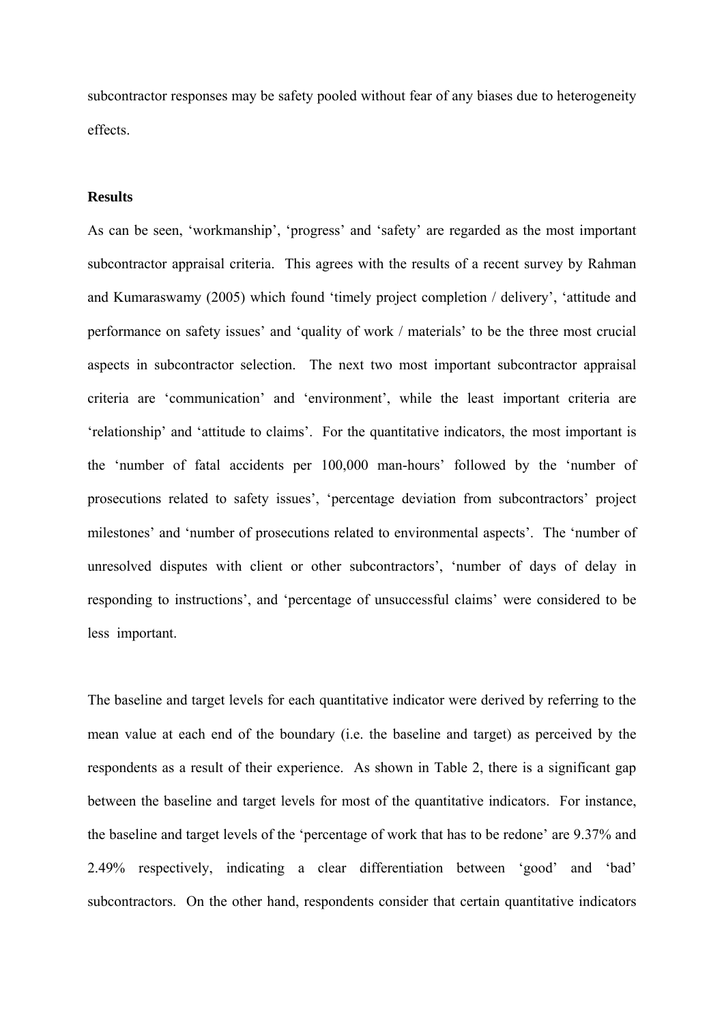subcontractor responses may be safety pooled without fear of any biases due to heterogeneity effects.

## **Results**

As can be seen, 'workmanship', 'progress' and 'safety' are regarded as the most important subcontractor appraisal criteria. This agrees with the results of a recent survey by Rahman and Kumaraswamy (2005) which found 'timely project completion / delivery', 'attitude and performance on safety issues' and 'quality of work / materials' to be the three most crucial aspects in subcontractor selection. The next two most important subcontractor appraisal criteria are 'communication' and 'environment', while the least important criteria are 'relationship' and 'attitude to claims'. For the quantitative indicators, the most important is the 'number of fatal accidents per 100,000 man-hours' followed by the 'number of prosecutions related to safety issues', 'percentage deviation from subcontractors' project milestones' and 'number of prosecutions related to environmental aspects'. The 'number of unresolved disputes with client or other subcontractors', 'number of days of delay in responding to instructions', and 'percentage of unsuccessful claims' were considered to be less important.

The baseline and target levels for each quantitative indicator were derived by referring to the mean value at each end of the boundary (i.e. the baseline and target) as perceived by the respondents as a result of their experience. As shown in Table 2, there is a significant gap between the baseline and target levels for most of the quantitative indicators. For instance, the baseline and target levels of the 'percentage of work that has to be redone' are 9.37% and 2.49% respectively, indicating a clear differentiation between 'good' and 'bad' subcontractors. On the other hand, respondents consider that certain quantitative indicators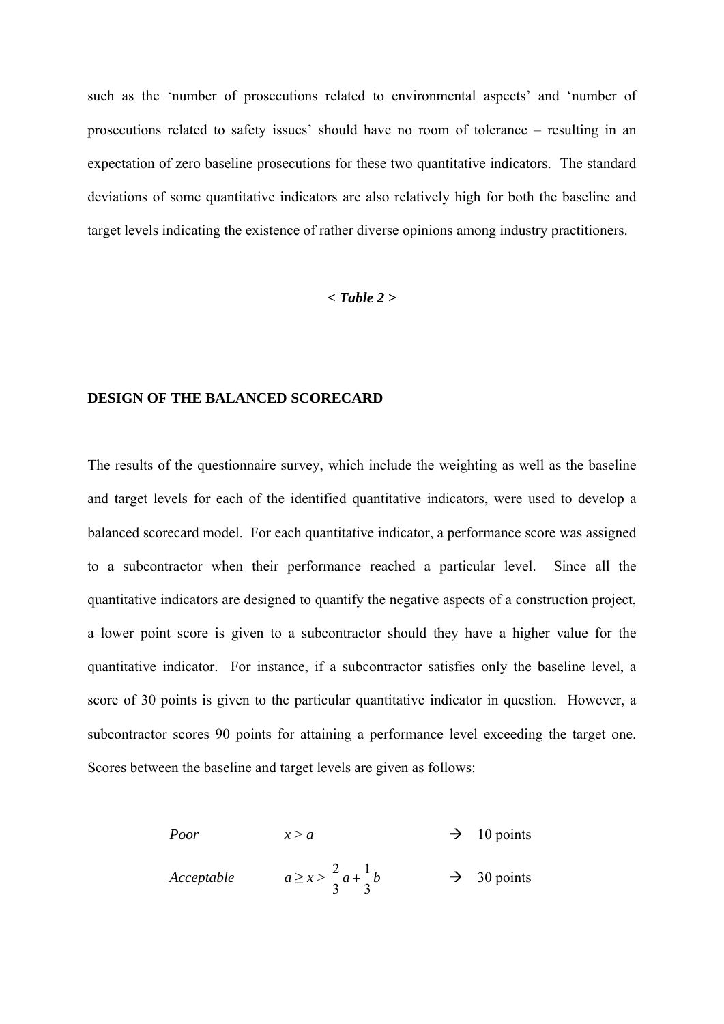such as the 'number of prosecutions related to environmental aspects' and 'number of prosecutions related to safety issues' should have no room of tolerance – resulting in an expectation of zero baseline prosecutions for these two quantitative indicators. The standard deviations of some quantitative indicators are also relatively high for both the baseline and target levels indicating the existence of rather diverse opinions among industry practitioners.

#### *< Table 2 >*

## **DESIGN OF THE BALANCED SCORECARD**

The results of the questionnaire survey, which include the weighting as well as the baseline and target levels for each of the identified quantitative indicators, were used to develop a balanced scorecard model. For each quantitative indicator, a performance score was assigned to a subcontractor when their performance reached a particular level. Since all the quantitative indicators are designed to quantify the negative aspects of a construction project, a lower point score is given to a subcontractor should they have a higher value for the quantitative indicator. For instance, if a subcontractor satisfies only the baseline level, a score of 30 points is given to the particular quantitative indicator in question. However, a subcontractor scores 90 points for attaining a performance level exceeding the target one. Scores between the baseline and target levels are given as follows:

> *Poor*  $x > a$   $\rightarrow$  10 points *Acceptable*  $a \ge x > \frac{2}{a}a + \frac{1}{2}$  $3^{\circ}$  3  $a + \frac{1}{2}b$   $\rightarrow$  30 points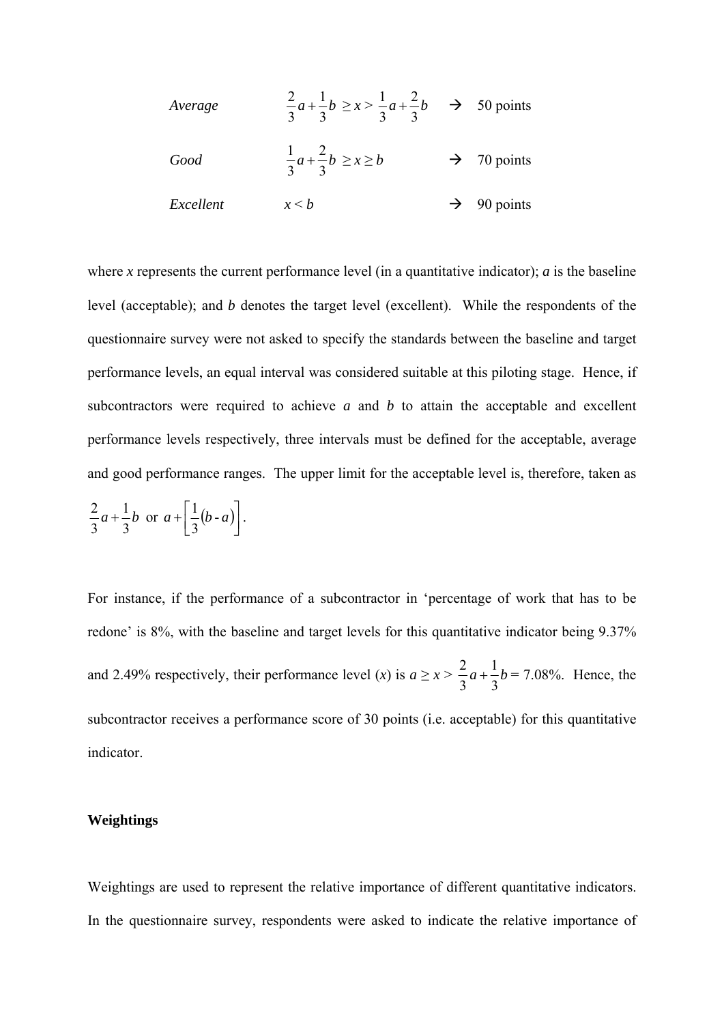| Average   | $rac{2}{3}a+\frac{1}{3}b \ge x > \frac{1}{3}a+\frac{2}{3}b \implies 50 \text{ points}$ |                         |
|-----------|----------------------------------------------------------------------------------------|-------------------------|
| Good      | $\frac{1}{3}a+\frac{2}{3}b \geq x \geq b$                                              | $\rightarrow$ 70 points |
| Excellent | x < b                                                                                  | $\rightarrow$ 90 points |

where *x* represents the current performance level (in a quantitative indicator); *a* is the baseline level (acceptable); and *b* denotes the target level (excellent). While the respondents of the questionnaire survey were not asked to specify the standards between the baseline and target performance levels, an equal interval was considered suitable at this piloting stage. Hence, if subcontractors were required to achieve *a* and *b* to attain the acceptable and excellent performance levels respectively, three intervals must be defined for the acceptable, average and good performance ranges. The upper limit for the acceptable level is, therefore, taken as

$$
\frac{2}{3}a + \frac{1}{3}b
$$
 or  $a + \left[\frac{1}{3}(b-a)\right]$ .

For instance, if the performance of a subcontractor in 'percentage of work that has to be redone' is 8%, with the baseline and target levels for this quantitative indicator being 9.37% and 2.49% respectively, their performance level (*x*) is  $a \ge x > \frac{2}{5}a + \frac{1}{5}$  $3^{\circ}$  3  $a + \frac{1}{2}b = 7.08\%$ . Hence, the subcontractor receives a performance score of 30 points (i.e. acceptable) for this quantitative indicator.

## **Weightings**

Weightings are used to represent the relative importance of different quantitative indicators. In the questionnaire survey, respondents were asked to indicate the relative importance of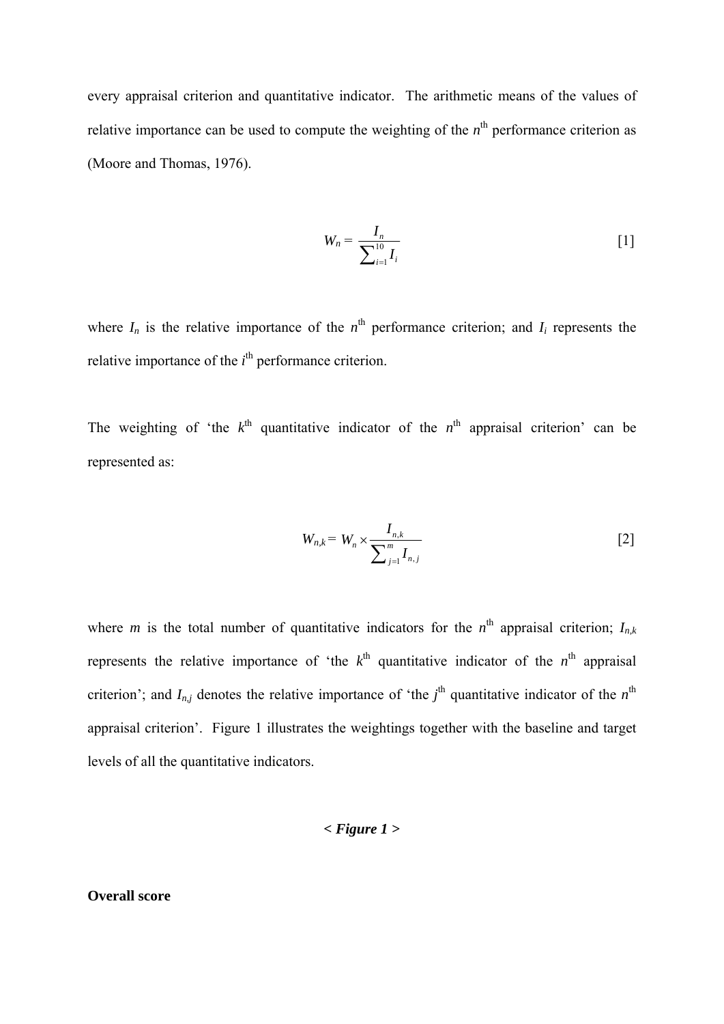every appraisal criterion and quantitative indicator. The arithmetic means of the values of relative importance can be used to compute the weighting of the  $n<sup>th</sup>$  performance criterion as (Moore and Thomas, 1976).

$$
W_n = \frac{I_n}{\sum_{i=1}^{10} I_i}
$$
 [1]

where  $I_n$  is the relative importance of the  $n^{\text{th}}$  performance criterion; and  $I_i$  represents the relative importance of the  $i<sup>th</sup>$  performance criterion.

The weighting of 'the  $k^{\text{th}}$  quantitative indicator of the  $n^{\text{th}}$  appraisal criterion' can be represented as:

$$
W_{n,k} = W_n \times \frac{I_{n,k}}{\sum_{j=1}^{m} I_{n,j}}
$$
 [2]

where *m* is the total number of quantitative indicators for the  $n^{\text{th}}$  appraisal criterion;  $I_{n,k}$ represents the relative importance of 'the  $k^{\text{th}}$  quantitative indicator of the  $n^{\text{th}}$  appraisal criterion'; and  $I_{n,j}$  denotes the relative importance of 'the  $j^{\text{th}}$  quantitative indicator of the  $n^{\text{th}}$ appraisal criterion'. Figure 1 illustrates the weightings together with the baseline and target levels of all the quantitative indicators.

$$
< Figure 1 > \frac{1}{2}
$$

### **Overall score**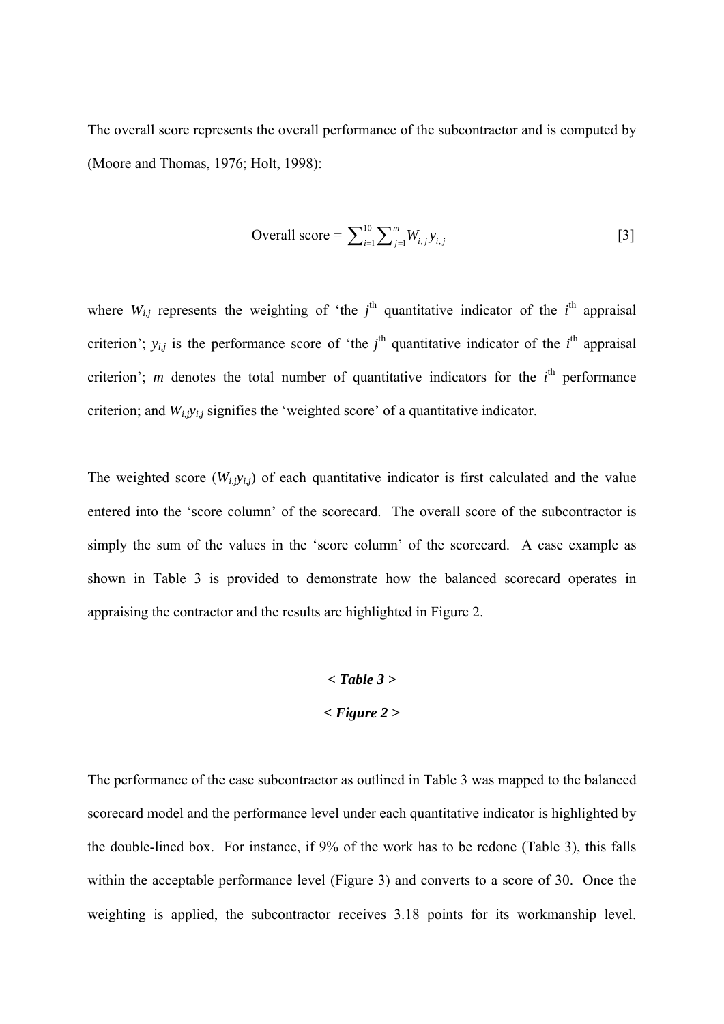The overall score represents the overall performance of the subcontractor and is computed by (Moore and Thomas, 1976; Holt, 1998):

Overall score = 
$$
\sum_{i=1}^{10} \sum_{j=1}^{m} W_{i,j} y_{i,j}
$$
 [3]

where  $W_{i,j}$  represents the weighting of 'the  $j^{\text{th}}$  quantitative indicator of the  $i^{\text{th}}$  appraisal criterion';  $y_{i,j}$  is the performance score of 'the  $j^{\text{th}}$  quantitative indicator of the  $i^{\text{th}}$  appraisal criterion'; *m* denotes the total number of quantitative indicators for the  $i<sup>th</sup>$  performance criterion; and *Wi,jyi,j* signifies the 'weighted score' of a quantitative indicator.

The weighted score  $(W_{i,j}y_{i,j})$  of each quantitative indicator is first calculated and the value entered into the 'score column' of the scorecard. The overall score of the subcontractor is simply the sum of the values in the 'score column' of the scorecard. A case example as shown in Table 3 is provided to demonstrate how the balanced scorecard operates in appraising the contractor and the results are highlighted in Figure 2.

# *< Table 3 > < Figure 2 >*

The performance of the case subcontractor as outlined in Table 3 was mapped to the balanced scorecard model and the performance level under each quantitative indicator is highlighted by the double-lined box. For instance, if 9% of the work has to be redone (Table 3), this falls within the acceptable performance level (Figure 3) and converts to a score of 30. Once the weighting is applied, the subcontractor receives 3.18 points for its workmanship level.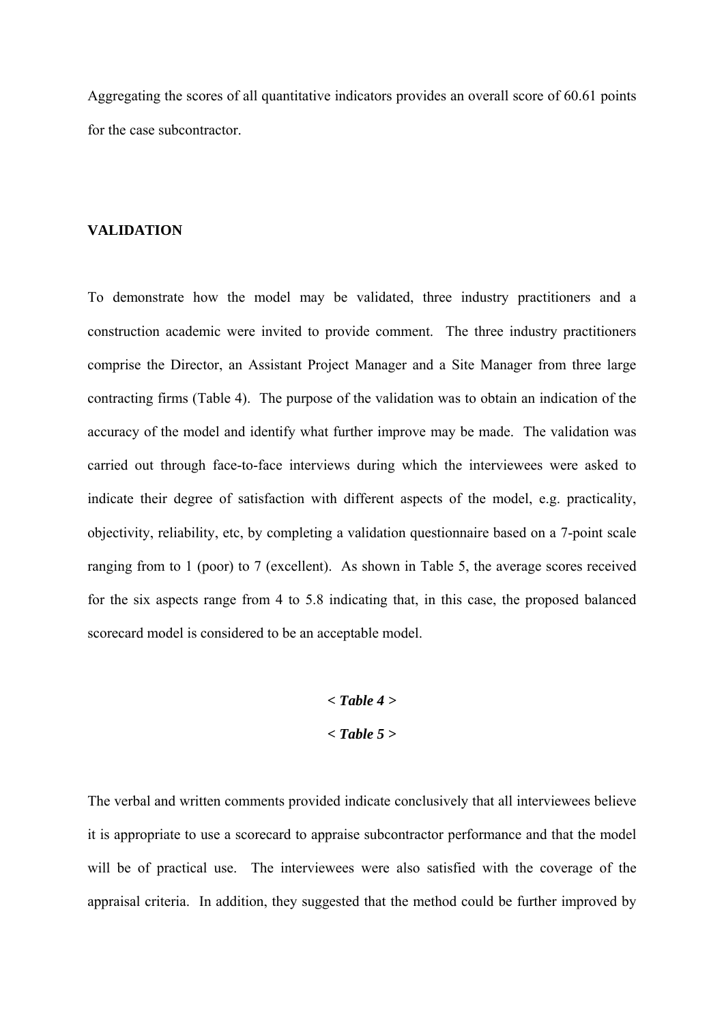Aggregating the scores of all quantitative indicators provides an overall score of 60.61 points for the case subcontractor.

#### **VALIDATION**

To demonstrate how the model may be validated, three industry practitioners and a construction academic were invited to provide comment. The three industry practitioners comprise the Director, an Assistant Project Manager and a Site Manager from three large contracting firms (Table 4). The purpose of the validation was to obtain an indication of the accuracy of the model and identify what further improve may be made. The validation was carried out through face-to-face interviews during which the interviewees were asked to indicate their degree of satisfaction with different aspects of the model, e.g. practicality, objectivity, reliability, etc, by completing a validation questionnaire based on a 7-point scale ranging from to 1 (poor) to 7 (excellent). As shown in Table 5, the average scores received for the six aspects range from 4 to 5.8 indicating that, in this case, the proposed balanced scorecard model is considered to be an acceptable model.

$$
< Table\ 4>
$$

$$
< Table\ 5>
$$

The verbal and written comments provided indicate conclusively that all interviewees believe it is appropriate to use a scorecard to appraise subcontractor performance and that the model will be of practical use. The interviewees were also satisfied with the coverage of the appraisal criteria. In addition, they suggested that the method could be further improved by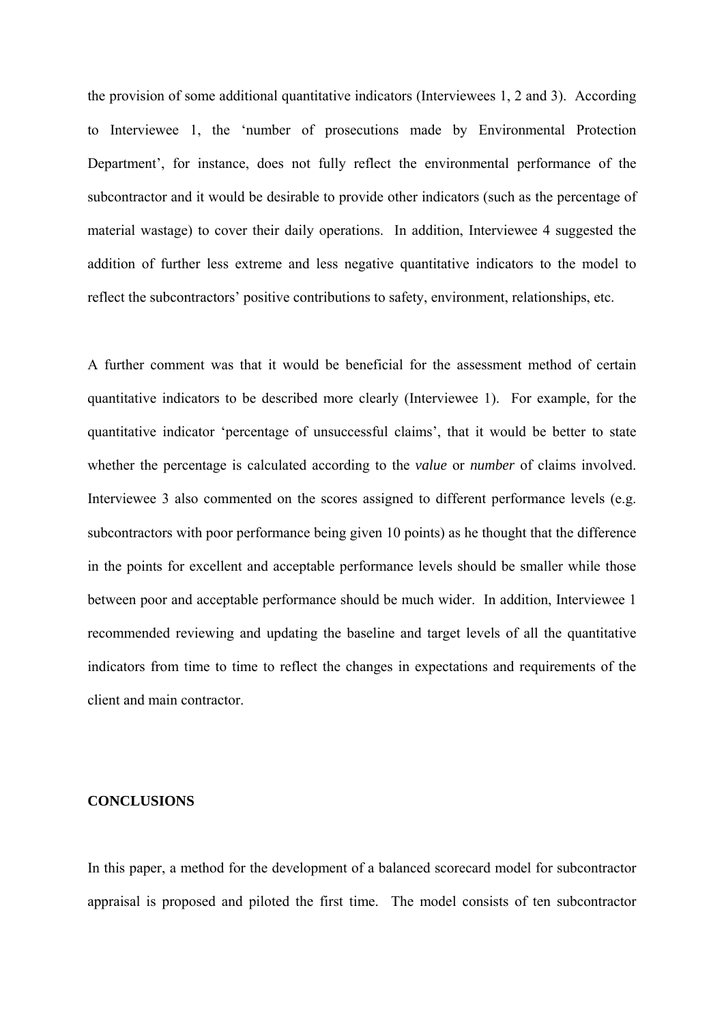the provision of some additional quantitative indicators (Interviewees 1, 2 and 3). According to Interviewee 1, the 'number of prosecutions made by Environmental Protection Department', for instance, does not fully reflect the environmental performance of the subcontractor and it would be desirable to provide other indicators (such as the percentage of material wastage) to cover their daily operations. In addition, Interviewee 4 suggested the addition of further less extreme and less negative quantitative indicators to the model to reflect the subcontractors' positive contributions to safety, environment, relationships, etc.

A further comment was that it would be beneficial for the assessment method of certain quantitative indicators to be described more clearly (Interviewee 1). For example, for the quantitative indicator 'percentage of unsuccessful claims', that it would be better to state whether the percentage is calculated according to the *value* or *number* of claims involved. Interviewee 3 also commented on the scores assigned to different performance levels (e.g. subcontractors with poor performance being given 10 points) as he thought that the difference in the points for excellent and acceptable performance levels should be smaller while those between poor and acceptable performance should be much wider. In addition, Interviewee 1 recommended reviewing and updating the baseline and target levels of all the quantitative indicators from time to time to reflect the changes in expectations and requirements of the client and main contractor.

#### **CONCLUSIONS**

In this paper, a method for the development of a balanced scorecard model for subcontractor appraisal is proposed and piloted the first time. The model consists of ten subcontractor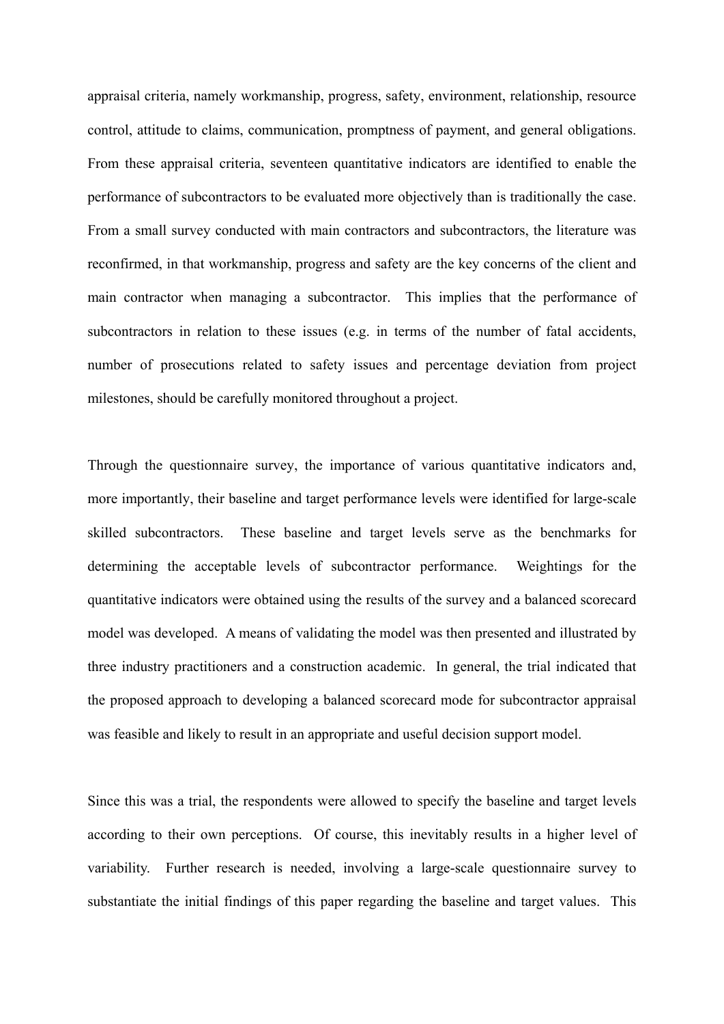appraisal criteria, namely workmanship, progress, safety, environment, relationship, resource control, attitude to claims, communication, promptness of payment, and general obligations. From these appraisal criteria, seventeen quantitative indicators are identified to enable the performance of subcontractors to be evaluated more objectively than is traditionally the case. From a small survey conducted with main contractors and subcontractors, the literature was reconfirmed, in that workmanship, progress and safety are the key concerns of the client and main contractor when managing a subcontractor. This implies that the performance of subcontractors in relation to these issues (e.g. in terms of the number of fatal accidents, number of prosecutions related to safety issues and percentage deviation from project milestones, should be carefully monitored throughout a project.

Through the questionnaire survey, the importance of various quantitative indicators and, more importantly, their baseline and target performance levels were identified for large-scale skilled subcontractors. These baseline and target levels serve as the benchmarks for determining the acceptable levels of subcontractor performance. Weightings for the quantitative indicators were obtained using the results of the survey and a balanced scorecard model was developed. A means of validating the model was then presented and illustrated by three industry practitioners and a construction academic. In general, the trial indicated that the proposed approach to developing a balanced scorecard mode for subcontractor appraisal was feasible and likely to result in an appropriate and useful decision support model.

Since this was a trial, the respondents were allowed to specify the baseline and target levels according to their own perceptions. Of course, this inevitably results in a higher level of variability. Further research is needed, involving a large-scale questionnaire survey to substantiate the initial findings of this paper regarding the baseline and target values. This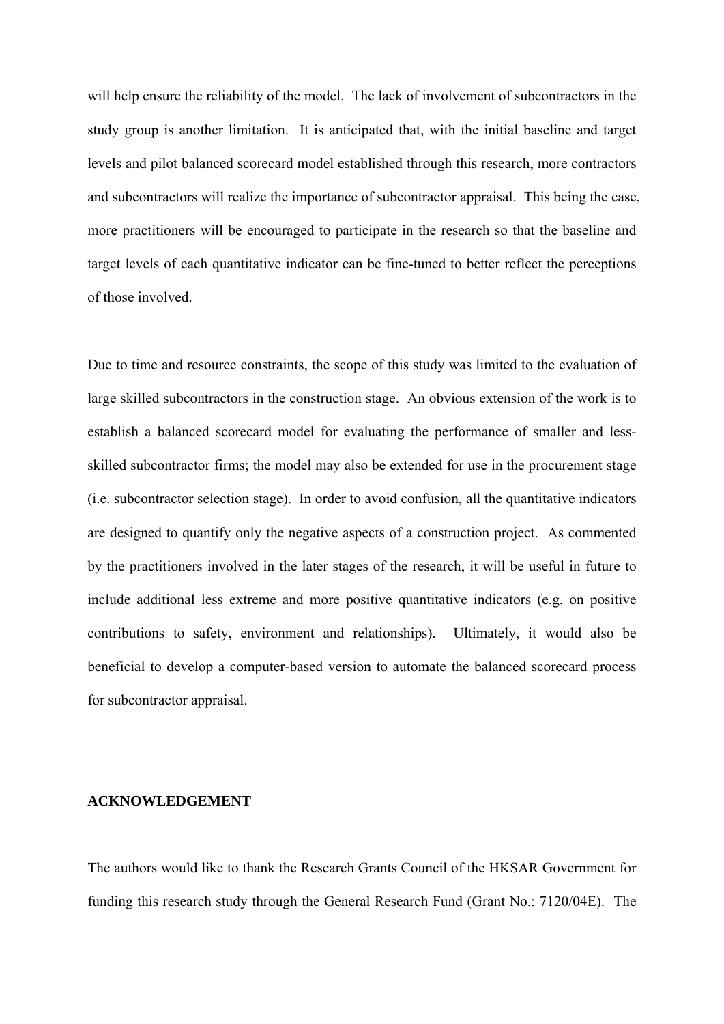will help ensure the reliability of the model. The lack of involvement of subcontractors in the study group is another limitation. It is anticipated that, with the initial baseline and target levels and pilot balanced scorecard model established through this research, more contractors and subcontractors will realize the importance of subcontractor appraisal. This being the case, more practitioners will be encouraged to participate in the research so that the baseline and target levels of each quantitative indicator can be fine-tuned to better reflect the perceptions of those involved.

Due to time and resource constraints, the scope of this study was limited to the evaluation of large skilled subcontractors in the construction stage. An obvious extension of the work is to establish a balanced scorecard model for evaluating the performance of smaller and lessskilled subcontractor firms; the model may also be extended for use in the procurement stage (i.e. subcontractor selection stage). In order to avoid confusion, all the quantitative indicators are designed to quantify only the negative aspects of a construction project. As commented by the practitioners involved in the later stages of the research, it will be useful in future to include additional less extreme and more positive quantitative indicators (e.g. on positive contributions to safety, environment and relationships). Ultimately, it would also be beneficial to develop a computer-based version to automate the balanced scorecard process for subcontractor appraisal.

#### **ACKNOWLEDGEMENT**

The authors would like to thank the Research Grants Council of the HKSAR Government for funding this research study through the General Research Fund (Grant No.: 7120/04E). The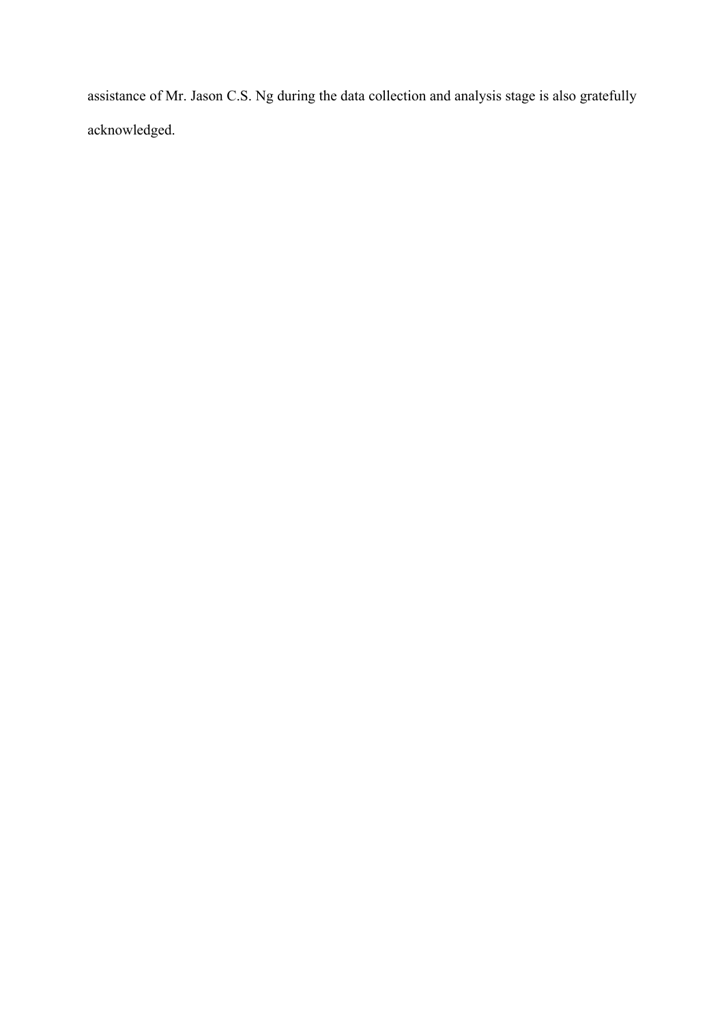assistance of Mr. Jason C.S. Ng during the data collection and analysis stage is also gratefully acknowledged.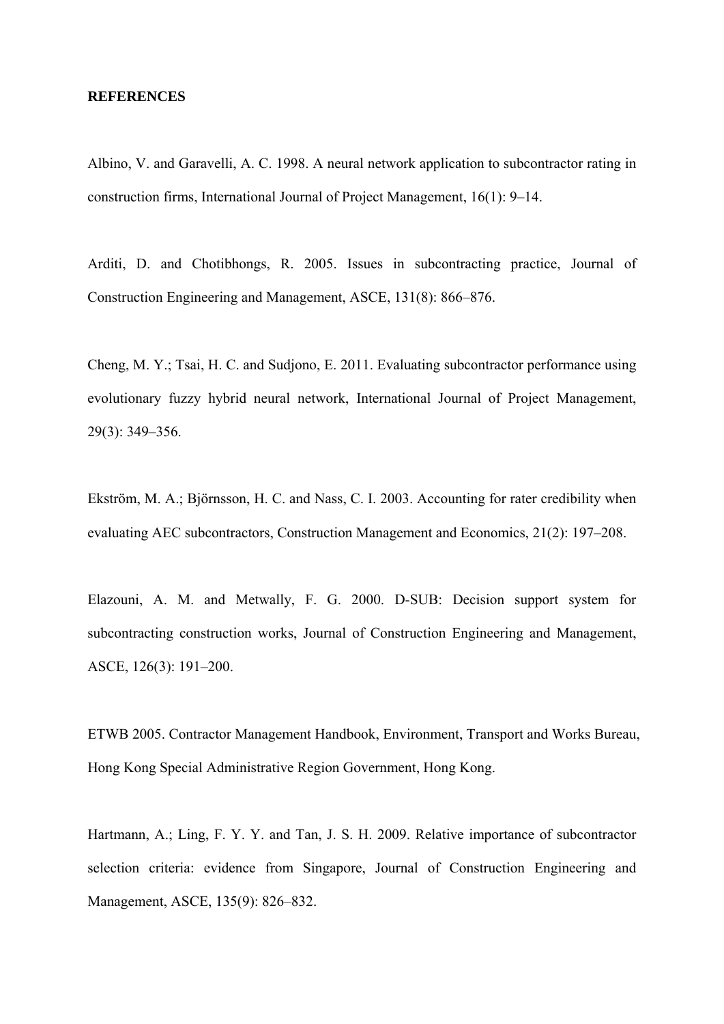#### **REFERENCES**

Albino, V. and Garavelli, A. C. 1998. A neural network application to subcontractor rating in construction firms, International Journal of Project Management, 16(1): 9–14.

Arditi, D. and Chotibhongs, R. 2005. Issues in subcontracting practice, Journal of Construction Engineering and Management, ASCE, 131(8): 866–876.

Cheng, M. Y.; Tsai, H. C. and Sudjono, E. 2011. Evaluating subcontractor performance using evolutionary fuzzy hybrid neural network, International Journal of Project Management, 29(3): 349–356.

Ekström, M. A.; Björnsson, H. C. and Nass, C. I. 2003. Accounting for rater credibility when evaluating AEC subcontractors, Construction Management and Economics, 21(2): 197–208.

Elazouni, A. M. and Metwally, F. G. 2000. D-SUB: Decision support system for subcontracting construction works, Journal of Construction Engineering and Management, ASCE, 126(3): 191–200.

ETWB 2005. Contractor Management Handbook, Environment, Transport and Works Bureau, Hong Kong Special Administrative Region Government, Hong Kong.

Hartmann, A.; Ling, F. Y. Y. and Tan, J. S. H. 2009. Relative importance of subcontractor selection criteria: evidence from Singapore, Journal of Construction Engineering and Management, ASCE, 135(9): 826–832.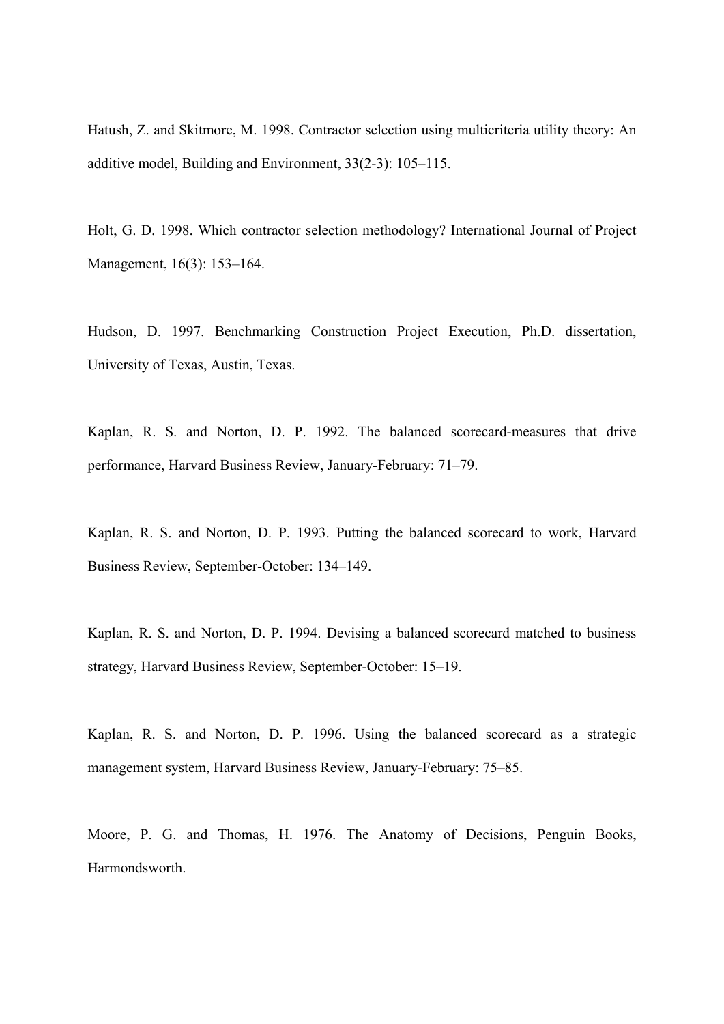Hatush, Z. and Skitmore, M. 1998. Contractor selection using multicriteria utility theory: An additive model, Building and Environment, 33(2-3): 105–115.

Holt, G. D. 1998. Which contractor selection methodology? International Journal of Project Management, 16(3): 153–164.

Hudson, D. 1997. Benchmarking Construction Project Execution, Ph.D. dissertation, University of Texas, Austin, Texas.

Kaplan, R. S. and Norton, D. P. 1992. The balanced scorecard-measures that drive performance, Harvard Business Review, January-February: 71–79.

Kaplan, R. S. and Norton, D. P. 1993. Putting the balanced scorecard to work, Harvard Business Review, September-October: 134–149.

Kaplan, R. S. and Norton, D. P. 1994. Devising a balanced scorecard matched to business strategy, Harvard Business Review, September-October: 15–19.

Kaplan, R. S. and Norton, D. P. 1996. Using the balanced scorecard as a strategic management system, Harvard Business Review, January-February: 75–85.

Moore, P. G. and Thomas, H. 1976. The Anatomy of Decisions, Penguin Books, Harmondsworth.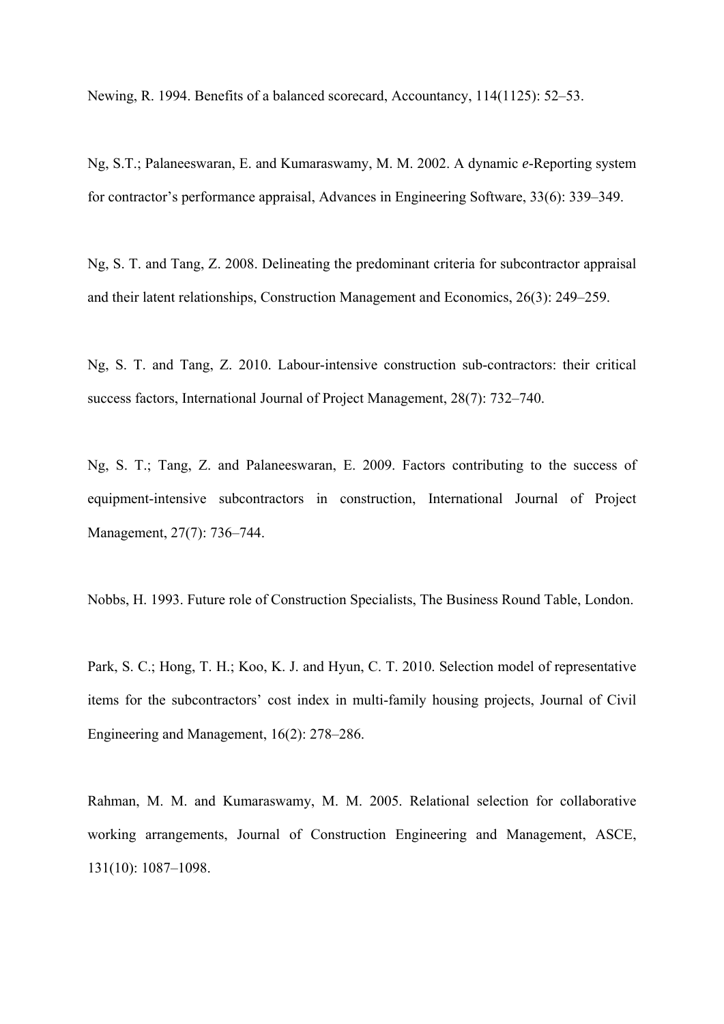Newing, R. 1994. Benefits of a balanced scorecard, Accountancy, 114(1125): 52–53.

Ng, S.T.; Palaneeswaran, E. and Kumaraswamy, M. M. 2002. A dynamic *e*-Reporting system for contractor's performance appraisal, Advances in Engineering Software, 33(6): 339–349.

Ng, S. T. and Tang, Z. 2008. Delineating the predominant criteria for subcontractor appraisal and their latent relationships, Construction Management and Economics, 26(3): 249–259.

Ng, S. T. and Tang, Z. 2010. Labour-intensive construction sub-contractors: their critical success factors, International Journal of Project Management, 28(7): 732–740.

Ng, S. T.; Tang, Z. and Palaneeswaran, E. 2009. Factors contributing to the success of equipment-intensive subcontractors in construction, International Journal of Project Management, 27(7): 736–744.

Nobbs, H. 1993. Future role of Construction Specialists, The Business Round Table, London.

Park, S. C.; Hong, T. H.; Koo, K. J. and Hyun, C. T. 2010. Selection model of representative items for the subcontractors' cost index in multi-family housing projects, Journal of Civil Engineering and Management, 16(2): 278–286.

Rahman, M. M. and Kumaraswamy, M. M. 2005. Relational selection for collaborative working arrangements, Journal of Construction Engineering and Management, ASCE, 131(10): 1087–1098.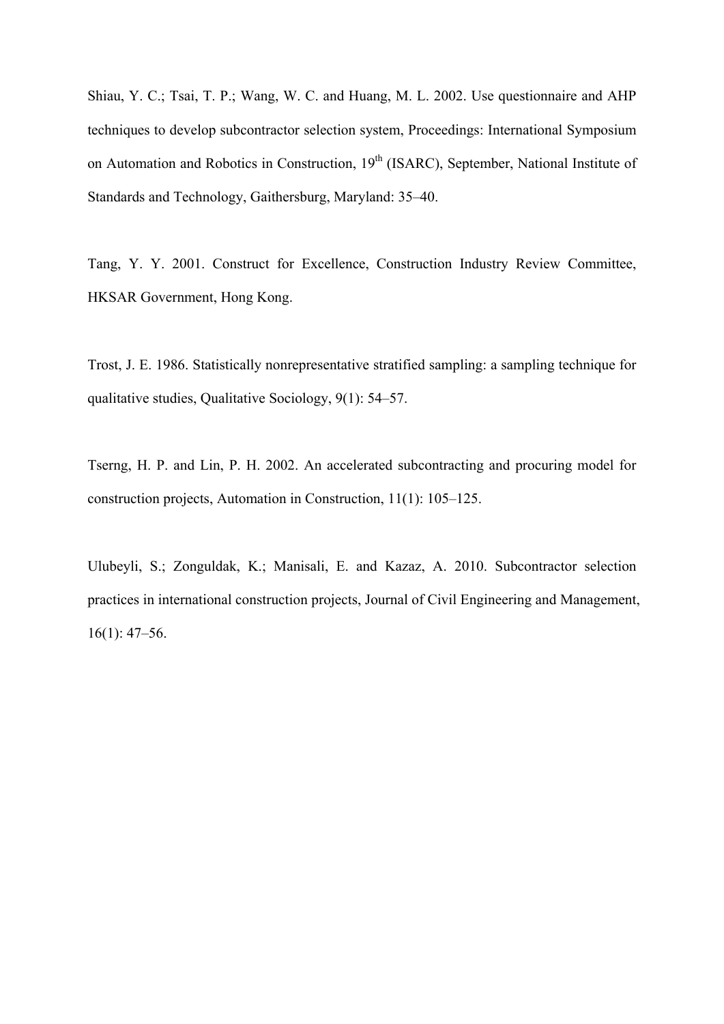Shiau, Y. C.; Tsai, T. P.; Wang, W. C. and Huang, M. L. 2002. Use questionnaire and AHP techniques to develop subcontractor selection system, Proceedings: International Symposium on Automation and Robotics in Construction, 19<sup>th</sup> (ISARC), September, National Institute of Standards and Technology, Gaithersburg, Maryland: 35–40.

Tang, Y. Y. 2001. Construct for Excellence, Construction Industry Review Committee, HKSAR Government, Hong Kong.

Trost, J. E. 1986. Statistically nonrepresentative stratified sampling: a sampling technique for qualitative studies, Qualitative Sociology, 9(1): 54–57.

Tserng, H. P. and Lin, P. H. 2002. An accelerated subcontracting and procuring model for construction projects, Automation in Construction, 11(1): 105–125.

Ulubeyli, S.; Zonguldak, K.; Manisali, E. and Kazaz, A. 2010. Subcontractor selection practices in international construction projects, Journal of Civil Engineering and Management, 16(1): 47–56.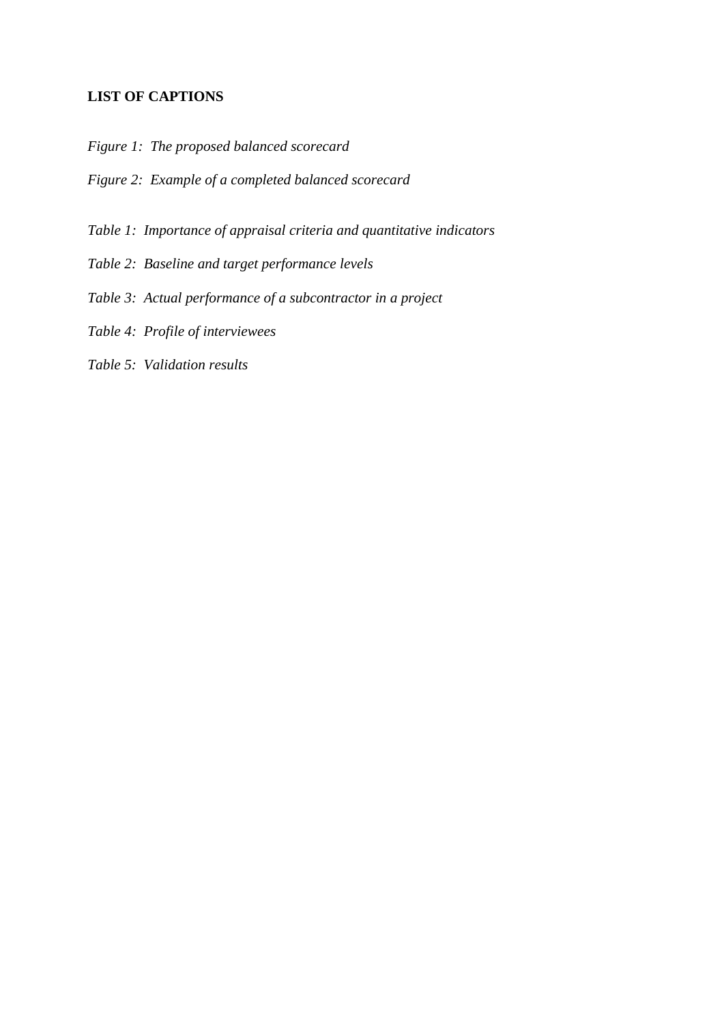## **LIST OF CAPTIONS**

- *Figure 1: The proposed balanced scorecard*
- *Figure 2: Example of a completed balanced scorecard*
- *Table 1: Importance of appraisal criteria and quantitative indicators*
- *Table 2: Baseline and target performance levels*
- *Table 3: Actual performance of a subcontractor in a project*
- *Table 4: Profile of interviewees*
- *Table 5: Validation results*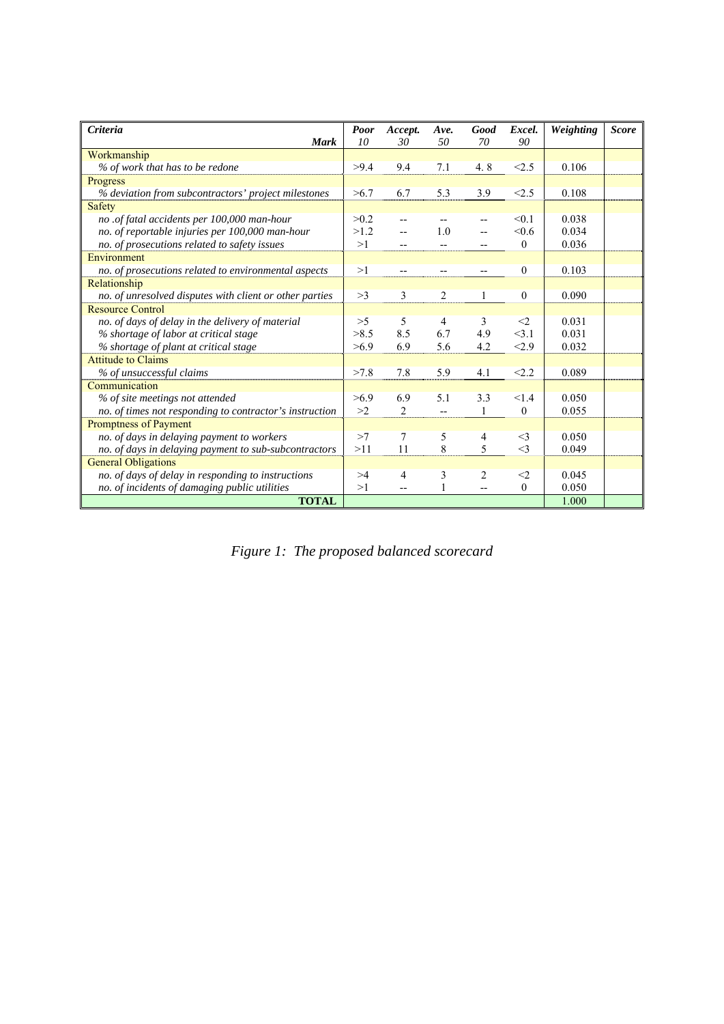| <b>Criteria</b>                                         | <b>Poor</b> | Accept.                  | Ave.           | Good         | Excel.       | Weighting | <b>Score</b> |
|---------------------------------------------------------|-------------|--------------------------|----------------|--------------|--------------|-----------|--------------|
| <b>Mark</b>                                             | 10          | 30                       | 50             | 70           | 90           |           |              |
| Workmanship                                             |             |                          |                |              |              |           |              |
| % of work that has to be redone                         | >9.4        | 9.4                      | 7.1            | 4.8          | < 2.5        | 0.106     |              |
| Progress                                                |             |                          |                |              |              |           |              |
| % deviation from subcontractors' project milestones     | >6.7        | 6.7                      | 5.3            | 3.9          | < 2.5        | 0.108     |              |
| <b>Safety</b>                                           |             |                          |                |              |              |           |              |
| no .of fatal accidents per 100,000 man-hour             | >0.2        |                          |                |              | < 0.1        | 0.038     |              |
| no. of reportable injuries per 100,000 man-hour         | >1.2        |                          | 1.0            |              | < 0.6        | 0.034     |              |
| no. of prosecutions related to safety issues            | >1          |                          |                |              | $\mathbf{0}$ | 0.036     |              |
| Environment                                             |             |                          |                |              |              |           |              |
| no. of prosecutions related to environmental aspects    | >1          | $\overline{\phantom{a}}$ | --             | --           | $\mathbf{0}$ | 0.103     |              |
| Relationship                                            |             |                          |                |              |              |           |              |
| no. of unresolved disputes with client or other parties | >3          | 3                        | $\overline{2}$ | 1            | $\mathbf{0}$ | 0.090     |              |
| <b>Resource Control</b>                                 |             |                          |                |              |              |           |              |
| no. of days of delay in the delivery of material        | >5          | 5                        | 4              | 3            | $\leq$ 2     | 0.031     |              |
| % shortage of labor at critical stage                   | >8.5        | 8.5                      | 6.7            | 4.9          | <3.1         | 0.031     |              |
| % shortage of plant at critical stage                   | >6.9        | 6.9                      | 5.6            | 4.2          | < 2.9        | 0.032     |              |
| <b>Attitude to Claims</b>                               |             |                          |                |              |              |           |              |
| % of unsuccessful claims                                | >7.8        | 7.8                      | 5.9            | 4.1          | < 2.2        | 0.089     |              |
| Communication                                           |             |                          |                |              |              |           |              |
| % of site meetings not attended                         | >6.9        | 6.9                      | 5.1            | 3.3          | < 1.4        | 0.050     |              |
| no. of times not responding to contractor's instruction | >2          | 2                        | $\overline{a}$ | $\mathbf{1}$ | $\theta$     | 0.055     |              |
| Promptness of Payment                                   |             |                          |                |              |              |           |              |
| no. of days in delaying payment to workers              | >7          | 7                        | 5              | 4            | $\leq$ 3     | 0.050     |              |
| no. of days in delaying payment to sub-subcontractors   | >11         | 11                       | 8              | 5            | $\leq$ 3     | 0.049     |              |
| <b>General Obligations</b>                              |             |                          |                |              |              |           |              |
| no. of days of delay in responding to instructions      | >4          | 4                        | 3              | 2            | $\leq$ 2     | 0.045     |              |
| no. of incidents of damaging public utilities           | >1          | $\overline{\phantom{a}}$ |                | $-$          | $\mathbf{0}$ | 0.050     |              |
| <b>TOTAL</b>                                            |             |                          |                |              |              | 1.000     |              |

*Figure 1: The proposed balanced scorecard*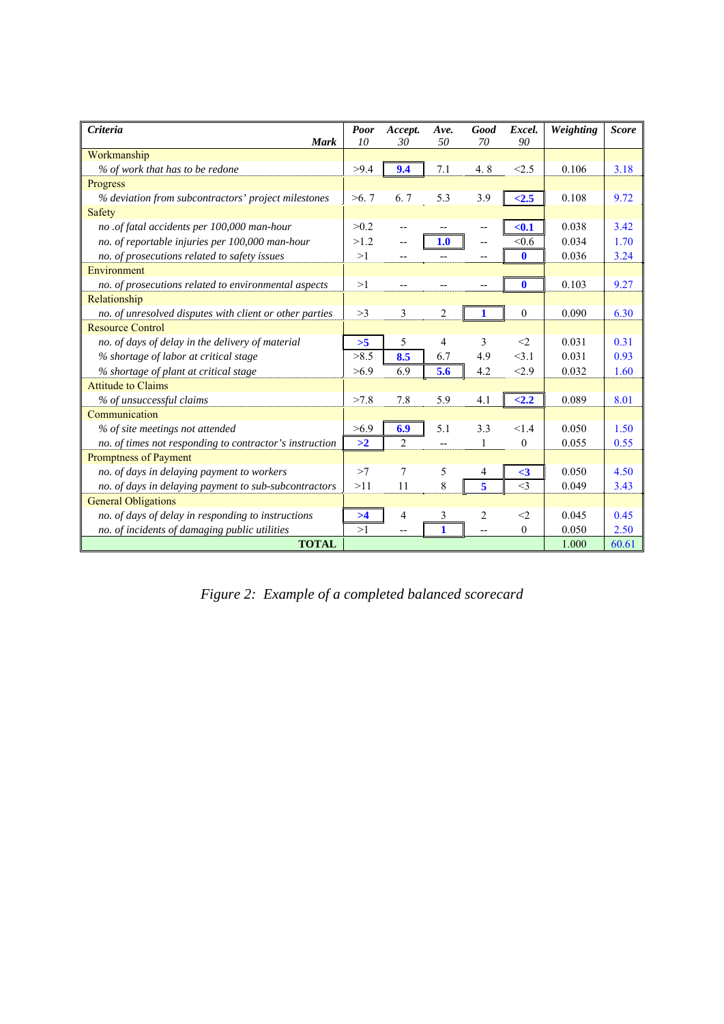| <b>Criteria</b>                                         | <b>Poor</b> | Accept.        | Ave. | Good         | Excel.       | Weighting | <b>Score</b> |
|---------------------------------------------------------|-------------|----------------|------|--------------|--------------|-----------|--------------|
| <b>Mark</b>                                             | 10          | 30             | 50   | 70           | 90           |           |              |
| Workmanship                                             |             |                |      |              |              |           |              |
| % of work that has to be redone                         | >9.4        | 9.4            | 7.1  | 4.8          | < 2.5        | 0.106     | 3.18         |
| Progress                                                |             |                |      |              |              |           |              |
| % deviation from subcontractors' project milestones     | >6.7        | 6.7            | 5.3  | 3.9          | < 2.5        | 0.108     | 9.72         |
| <b>Safety</b>                                           |             |                |      |              |              |           |              |
| no .of fatal accidents per 100,000 man-hour             | >0.2        |                |      | --           | $0.1$        | 0.038     | 3.42         |
| no. of reportable injuries per 100,000 man-hour         | >1.2        |                | 1.0  | $-$          | < 0.6        | 0.034     | 1.70         |
| no. of prosecutions related to safety issues            | >1          |                |      | --           | $\mathbf 0$  | 0.036     | 3.24         |
| Environment                                             |             |                |      |              |              |           |              |
| no. of prosecutions related to environmental aspects    | >1          |                |      | --           | $\mathbf 0$  | 0.103     | 9.27         |
| Relationship                                            |             |                |      |              |              |           |              |
| no. of unresolved disputes with client or other parties | >3          | 3              | 2    | 1            | $\mathbf{0}$ | 0.090     | 6.30         |
| <b>Resource Control</b>                                 |             |                |      |              |              |           |              |
| no. of days of delay in the delivery of material        | >5          | 5              | 4    | 3            | $\leq$ 2     | 0.031     | 0.31         |
| % shortage of labor at critical stage                   | >8.5        | 8.5            | 6.7  | 4.9          | 3.1          | 0.031     | 0.93         |
| % shortage of plant at critical stage                   | >6.9        | 6.9            | 5.6  | 4.2          | < 2.9        | 0.032     | 1.60         |
| <b>Attitude to Claims</b>                               |             |                |      |              |              |           |              |
| % of unsuccessful claims                                | >7.8        | 7.8            | 5.9  | 4.1          | < 2.2        | 0.089     | 8.01         |
| Communication                                           |             |                |      |              |              |           |              |
| % of site meetings not attended                         | >6.9        | 6.9            | 5.1  | 3.3          | <1.4         | 0.050     | 1.50         |
| no. of times not responding to contractor's instruction | >2          | 2              |      | $\mathbf{1}$ | $\mathbf{0}$ | 0.055     | 0.55         |
| Promptness of Payment                                   |             |                |      |              |              |           |              |
| no. of days in delaying payment to workers              | >7          | 7              | 5    | 4            | $\leq$ 3     | 0.050     | 4.50         |
| no. of days in delaying payment to sub-subcontractors   | >11         | 11             | 8    | 5            | $\leq$ 3     | 0.049     | 3.43         |
| <b>General Obligations</b>                              |             |                |      |              |              |           |              |
| no. of days of delay in responding to instructions      | >4          | $\overline{4}$ | 3    | 2            | $\leq$ 2     | 0.045     | 0.45         |
| no. of incidents of damaging public utilities           | >1          |                | 1    |              | $\Omega$     | 0.050     | 2.50         |
| <b>TOTAL</b>                                            |             |                |      |              |              | 1.000     | 60.61        |

*Figure 2: Example of a completed balanced scorecard*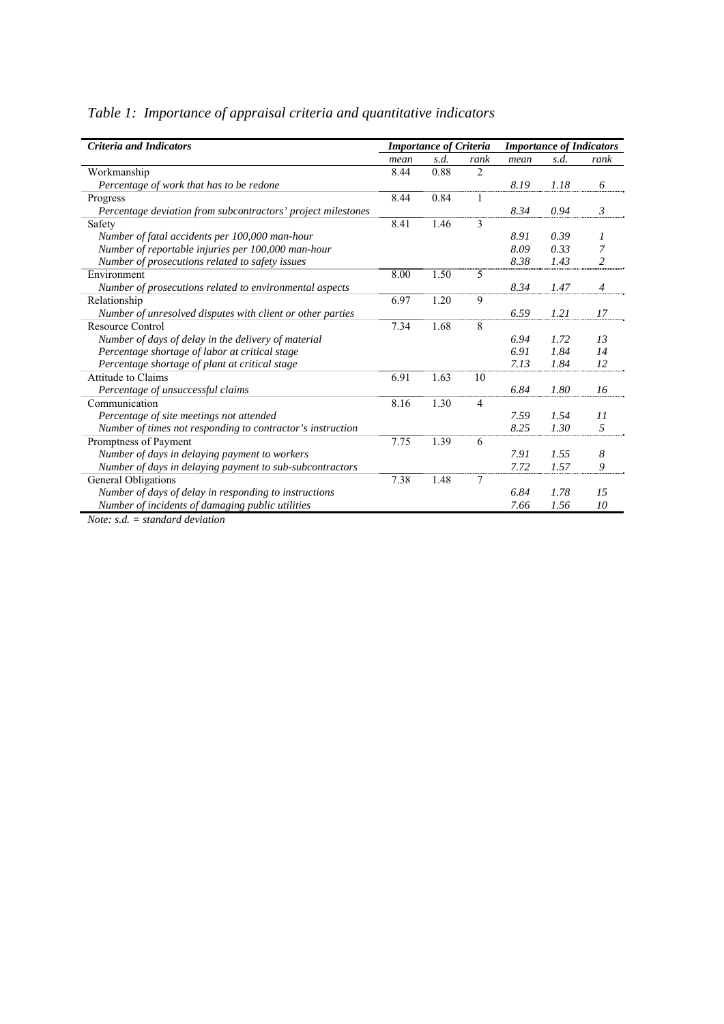| <b>Criteria and Indicators</b>                               |      | <b>Importance of Criteria</b> |                |      |      | <b>Importance of Indicators</b> |
|--------------------------------------------------------------|------|-------------------------------|----------------|------|------|---------------------------------|
|                                                              | mean | s.d.                          | rank           | mean | s.d. | rank                            |
| Workmanship                                                  | 8.44 | 0.88                          | $\overline{2}$ |      |      |                                 |
| Percentage of work that has to be redone                     |      |                               |                | 8.19 | 1.18 | 6                               |
| Progress                                                     | 8.44 | 0.84                          | 1              |      |      |                                 |
| Percentage deviation from subcontractors' project milestones |      |                               |                | 8.34 | 0.94 | $\mathfrak{Z}$                  |
| Safety                                                       | 8.41 | 1.46                          | 3              |      |      |                                 |
| Number of fatal accidents per 100,000 man-hour               |      |                               |                | 8.91 | 0.39 | $\mathcal{I}$                   |
| Number of reportable injuries per 100,000 man-hour           |      |                               |                | 8.09 | 0.33 | 7                               |
| Number of prosecutions related to safety issues              |      |                               |                | 8.38 | 1.43 | 2                               |
| Environment                                                  | 8.00 | 1.50                          | 5              |      |      |                                 |
| Number of prosecutions related to environmental aspects      |      |                               |                | 8.34 | 1.47 | $\overline{4}$                  |
| Relationship                                                 | 6.97 | 1.20                          | 9              |      |      |                                 |
| Number of unresolved disputes with client or other parties   |      |                               |                | 6.59 | 1.21 | 17                              |
| <b>Resource Control</b>                                      | 7.34 | 1.68                          | 8              |      |      |                                 |
| Number of days of delay in the delivery of material          |      |                               |                | 6.94 | 1.72 | 13                              |
| Percentage shortage of labor at critical stage               |      |                               |                | 6.91 | 1.84 | 14                              |
| Percentage shortage of plant at critical stage               |      |                               |                | 7.13 | 1.84 | 12                              |
| Attitude to Claims                                           | 6.91 | 1.63                          | 10             |      |      |                                 |
| Percentage of unsuccessful claims                            |      |                               |                | 6.84 | 1.80 | 16                              |
| Communication                                                | 8.16 | 1.30                          | $\overline{4}$ |      |      |                                 |
| Percentage of site meetings not attended                     |      |                               |                | 7.59 | 1.54 | 11                              |
| Number of times not responding to contractor's instruction   |      |                               |                | 8.25 | 1.30 | 5                               |
| Promptness of Payment                                        | 7.75 | 1.39                          | 6              |      |      |                                 |
| Number of days in delaying payment to workers                |      |                               |                | 7.91 | 1.55 | 8                               |
| Number of days in delaying payment to sub-subcontractors     |      |                               |                | 7.72 | 1.57 | 9                               |
| General Obligations                                          | 7.38 | 1.48                          | 7              |      |      |                                 |
| Number of days of delay in responding to instructions        |      |                               |                | 6.84 | 1.78 | 15                              |
| Number of incidents of damaging public utilities             |      |                               |                | 7.66 | 1.56 | 10                              |

## *Table 1: Importance of appraisal criteria and quantitative indicators*

*Note: s.d. = standard deviation*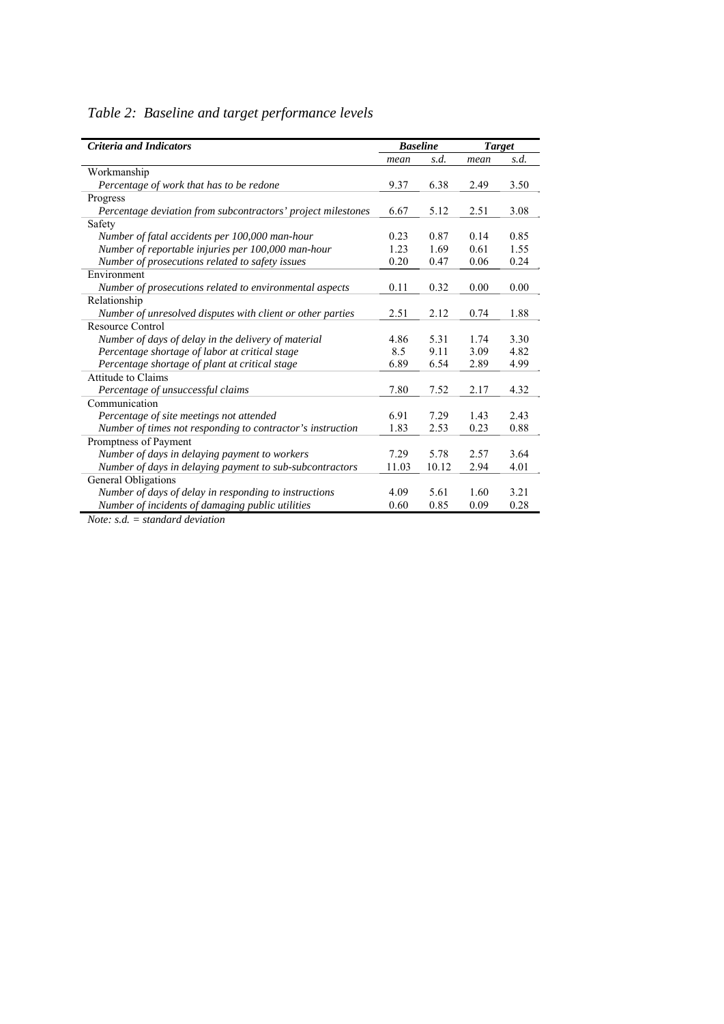|  |  |  |  | Table 2: Baseline and target performance levels |  |
|--|--|--|--|-------------------------------------------------|--|
|--|--|--|--|-------------------------------------------------|--|

| <b>Criteria and Indicators</b>                               |       | <b>Baseline</b> | <b>Target</b> |      |
|--------------------------------------------------------------|-------|-----------------|---------------|------|
|                                                              | mean  | s.d.            | mean          | s.d. |
| Workmanship                                                  |       |                 |               |      |
| Percentage of work that has to be redone                     | 9.37  | 6.38            | 2.49          | 3.50 |
| Progress                                                     |       |                 |               |      |
| Percentage deviation from subcontractors' project milestones | 6.67  | 5.12            | 2.51          | 3.08 |
| Safety                                                       |       |                 |               |      |
| Number of fatal accidents per 100,000 man-hour               | 0.23  | 0.87            | 0.14          | 0.85 |
| Number of reportable injuries per 100,000 man-hour           | 1.23  | 1.69            | 0.61          | 1.55 |
| Number of prosecutions related to safety issues              | 0.20  | 0.47            | 0.06          | 0.24 |
| Environment                                                  |       |                 |               |      |
| Number of prosecutions related to environmental aspects      | 0.11  | 0.32            | 0.00          | 0.00 |
| Relationship                                                 |       |                 |               |      |
| Number of unresolved disputes with client or other parties   | 2.51  | 2.12            | 0.74          | 1.88 |
| Resource Control                                             |       |                 |               |      |
| Number of days of delay in the delivery of material          | 4.86  | 5.31            | 1.74          | 3.30 |
| Percentage shortage of labor at critical stage               | 8.5   | 9.11            | 3.09          | 4.82 |
| Percentage shortage of plant at critical stage               | 6.89  | 6.54            | 2.89          | 4.99 |
| Attitude to Claims                                           |       |                 |               |      |
| Percentage of unsuccessful claims                            | 7.80  | 7.52            | 2.17          | 4.32 |
| Communication                                                |       |                 |               |      |
| Percentage of site meetings not attended                     | 6.91  | 7.29            | 1.43          | 2.43 |
| Number of times not responding to contractor's instruction   | 1.83  | 2.53            | 0.23          | 0.88 |
| Promptness of Payment                                        |       |                 |               |      |
| Number of days in delaying payment to workers                | 7.29  | 5.78            | 2.57          | 3.64 |
| Number of days in delaying payment to sub-subcontractors     | 11.03 | 10.12           | 2.94          | 4.01 |
| <b>General Obligations</b>                                   |       |                 |               |      |
| Number of days of delay in responding to instructions        | 4.09  | 5.61            | 1.60          | 3.21 |
| Number of incidents of damaging public utilities             | 0.60  | 0.85            | 0.09          | 0.28 |

*Note: s.d. = standard deviation*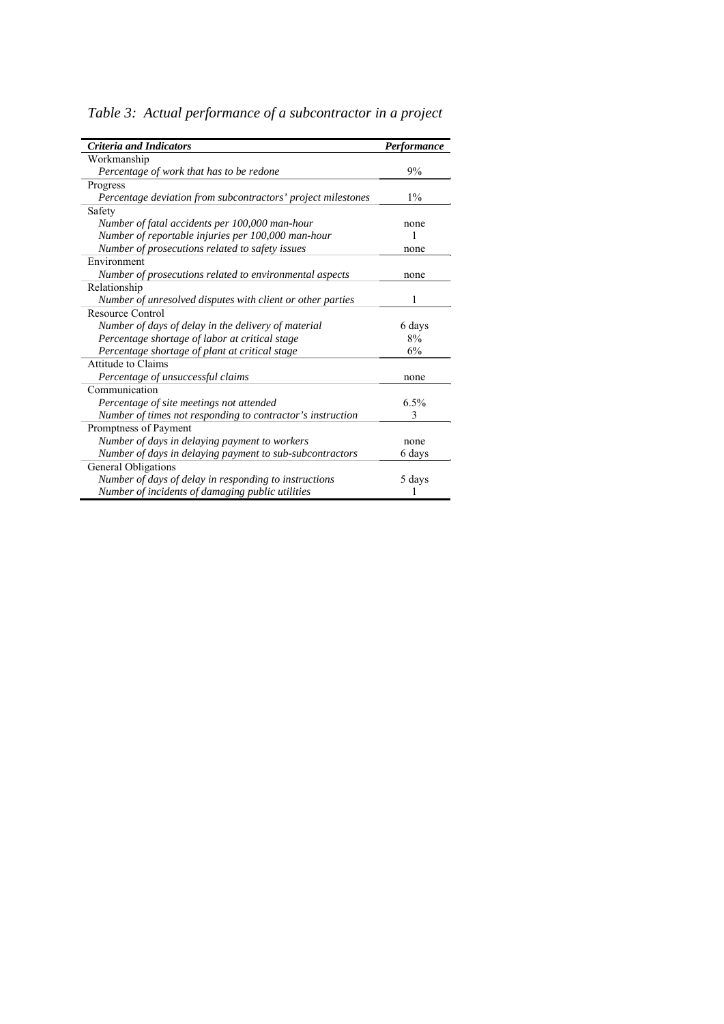| <b>Criteria and Indicators</b>                               | Performance |
|--------------------------------------------------------------|-------------|
| Workmanship                                                  |             |
| Percentage of work that has to be redone                     | 9%          |
| Progress                                                     |             |
| Percentage deviation from subcontractors' project milestones | $1\%$       |
| Safety                                                       |             |
| Number of fatal accidents per 100,000 man-hour               | none        |
| Number of reportable injuries per 100,000 man-hour           |             |
| Number of prosecutions related to safety issues              | none        |
| Environment                                                  |             |
| Number of prosecutions related to environmental aspects      | none        |
| Relationship                                                 |             |
| Number of unresolved disputes with client or other parties   | 1           |
| Resource Control                                             |             |
| Number of days of delay in the delivery of material          | 6 days      |
| Percentage shortage of labor at critical stage               | 8%          |
| Percentage shortage of plant at critical stage               | 6%          |
| <b>Attitude to Claims</b>                                    |             |
| Percentage of unsuccessful claims                            | none        |
| Communication                                                |             |
| Percentage of site meetings not attended                     | 6.5%        |
| Number of times not responding to contractor's instruction   | 3           |
| Promptness of Payment                                        |             |
| Number of days in delaying payment to workers                | none        |
| Number of days in delaying payment to sub-subcontractors     | 6 days      |
| General Obligations                                          |             |
| Number of days of delay in responding to instructions        | 5 days      |
| Number of incidents of damaging public utilities             |             |

*Table 3: Actual performance of a subcontractor in a project*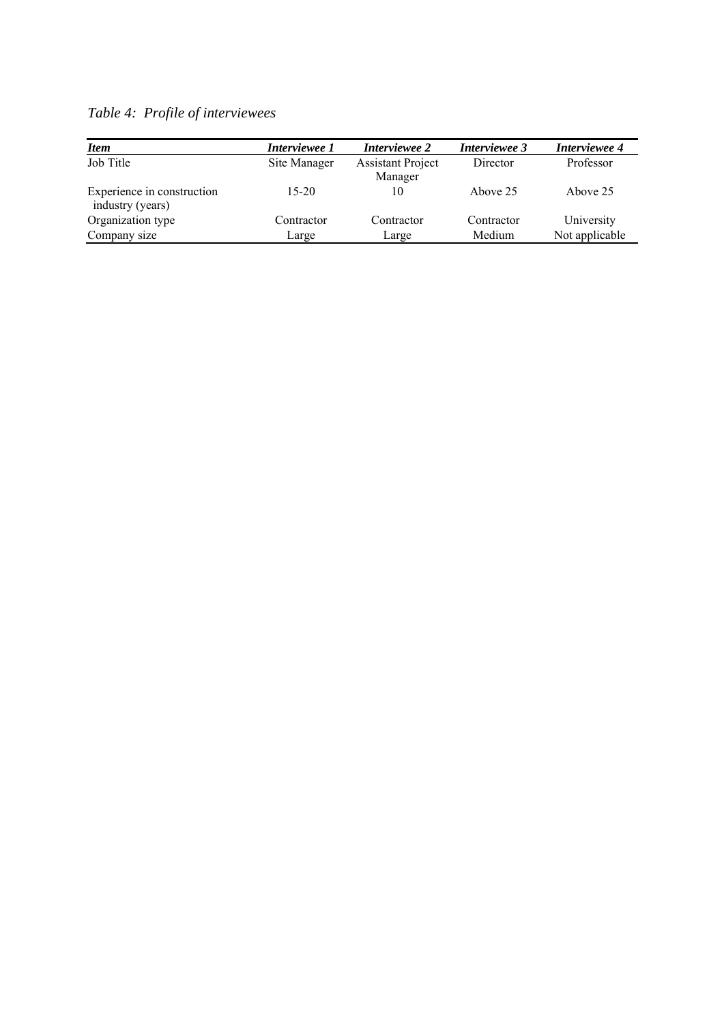| <b>Item</b>                                    | Interviewee 1 | Interviewee 2                       | Interviewee 3 | Interviewee 4  |
|------------------------------------------------|---------------|-------------------------------------|---------------|----------------|
| Job Title                                      | Site Manager  | <b>Assistant Project</b><br>Manager | Director      | Professor      |
| Experience in construction<br>industry (years) | $15-20$       | 10                                  | Above 25      | Above 25       |
| Organization type                              | Contractor    | Contractor                          | Contractor    | University     |
| Company size                                   | Large         | Large                               | Medium        | Not applicable |

*Table 4: Profile of interviewees*